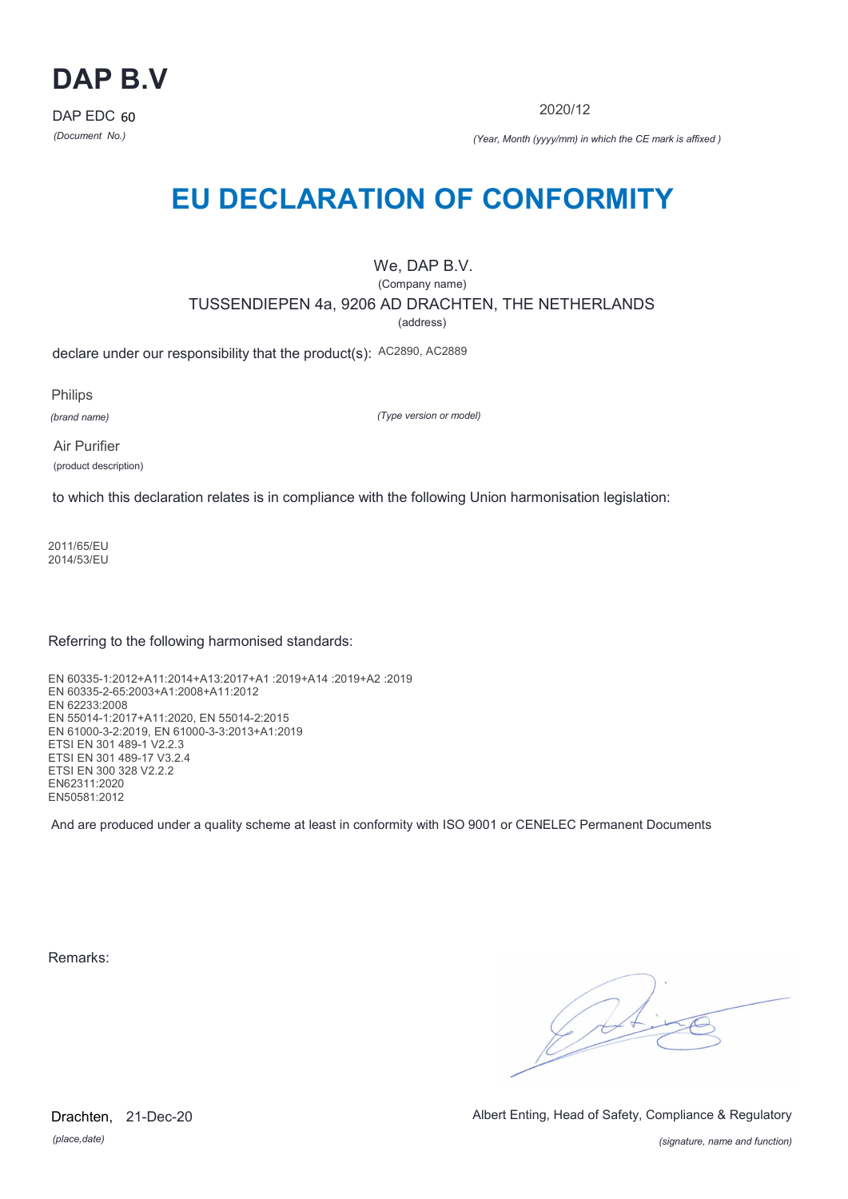

2020/12

*(Document No.) (Year, Month (yyyy/mm) in which the CE mark is affixed )*

# **EU DECLARATION OF CONFORMITY**

## We, DAP B.V.

(Company name)

TUSSENDIEPEN 4a, 9206 AD DRACHTEN, THE NETHERLANDS

(address)

declare under our responsibility that the product(s): AC2890, AC2889

Philips

*(brand name)*

*(Type version or model)*

Air Purifier (product description)

to which this declaration relates is in compliance with the following Union harmonisation legislation:

2011/65/EU 2014/53/EU

Referring to the following harmonised standards:

EN 60335-1:2012+A11:2014+A13:2017+A1 :2019+A14 :2019+A2 :2019 EN 60335-2-65:2003+A1:2008+A11:2012 EN 62233:2008 EN 55014-1:2017+A11:2020, EN 55014-2:2015 EN 61000-3-2:2019, EN 61000-3-3:2013+A1:2019 ETSI EN 301 489-1 V2.2.3 ETSI EN 301 489-17 V3.2.4 ETSI EN 300 328 V2.2.2 EN62311:2020 EN50581:2012

And are produced under a quality scheme at least in conformity with ISO 9001 or CENELEC Permanent Documents

Remarks:

 $\sqrt{14}$ 

*(place,date)* Drachten, 21-Dec-20 Albert Enting, Head of Safety, Compliance & Regulatory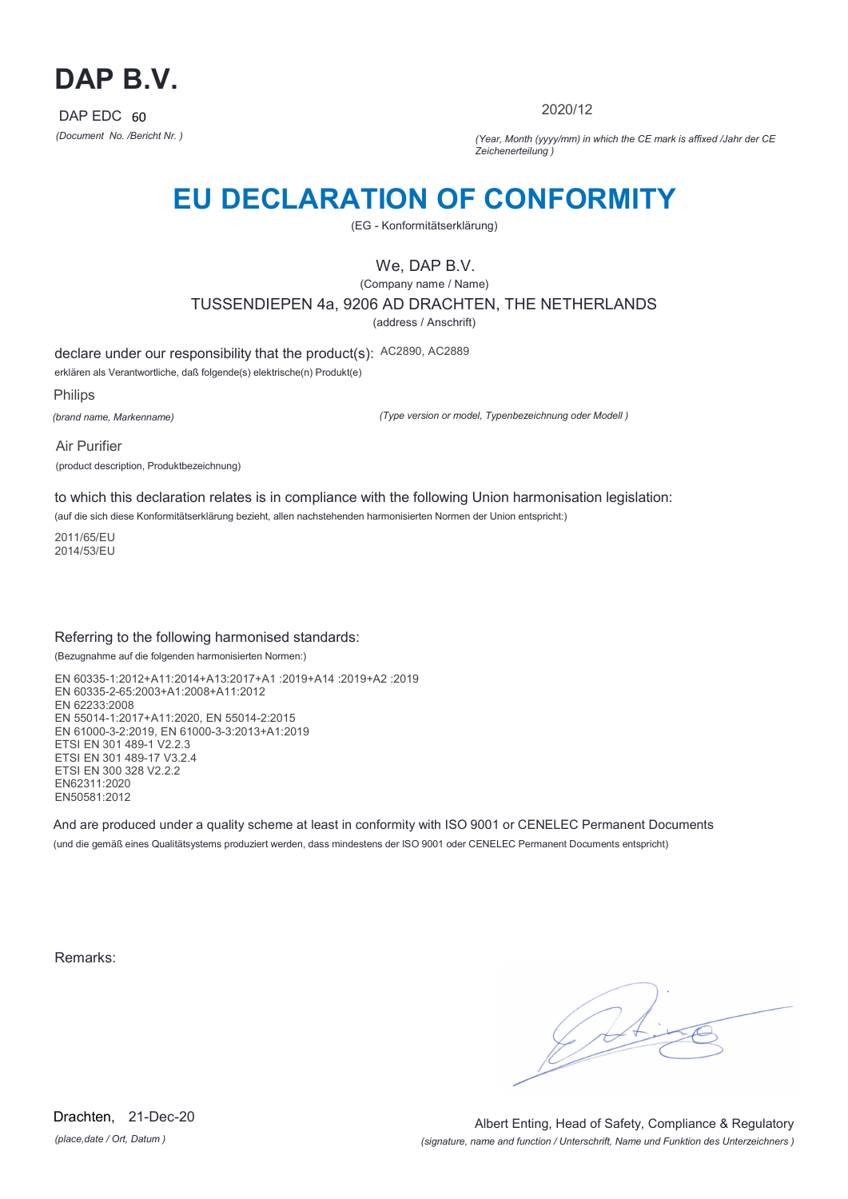

2020/12

*(Document No. /Bericht Nr. ) (Year, Month (yyyy/mm) in which the CE mark is affixed /Jahr der CE Zeichenerteilung )*

# **EU DECLARATION OF CONFORMITY**

(EG - Konformitätserklärung)

## We, DAP B.V.

(Company name / Name) TUSSENDIEPEN 4a, 9206 AD DRACHTEN, THE NETHERLANDS (address / Anschrift)

declare under our responsibility that the product(s): AC2890, AC2889

erklären als Verantwortliche, daß folgende(s) elektrische(n) Produkt(e)

Philips

*(brand name, Markenname)*

*(Type version or model, Typenbezeichnung oder Modell )*

Air Purifier (product description, Produktbezeichnung)

to which this declaration relates is in compliance with the following Union harmonisation legislation:

(auf die sich diese Konformitätserklärung bezieht, allen nachstehenden harmonisierten Normen der Union entspricht:)

2011/65/EU 2014/53/EU

### Referring to the following harmonised standards:

(Bezugnahme auf die folgenden harmonisierten Normen:)

EN 60335-1:2012+A11:2014+A13:2017+A1 :2019+A14 :2019+A2 :2019 EN 60335-2-65:2003+A1:2008+A11:2012 EN 62233:2008 EN 55014-1:2017+A11:2020, EN 55014-2:2015 EN 61000-3-2:2019, EN 61000-3-3:2013+A1:2019 ETSI EN 301 489-1 V2.2.3 ETSI EN 301 489-17 V3.2.4 ETSI EN 300 328 V2.2.2 EN62311:2020 EN50581:2012

And are produced under a quality scheme at least in conformity with ISO 9001 or CENELEC Permanent Documents (und die gemäß eines Qualitätsystems produziert werden, dass mindestens der ISO 9001 oder CENELEC Permanent Documents entspricht)

Remarks:

*(place,date / Ort, Datum )* Drachten, 21-Dec-20

*(signature, name and function / Unterschrift, Name und Funktion des Unterzeichners )* Albert Enting, Head of Safety, Compliance & Regulatory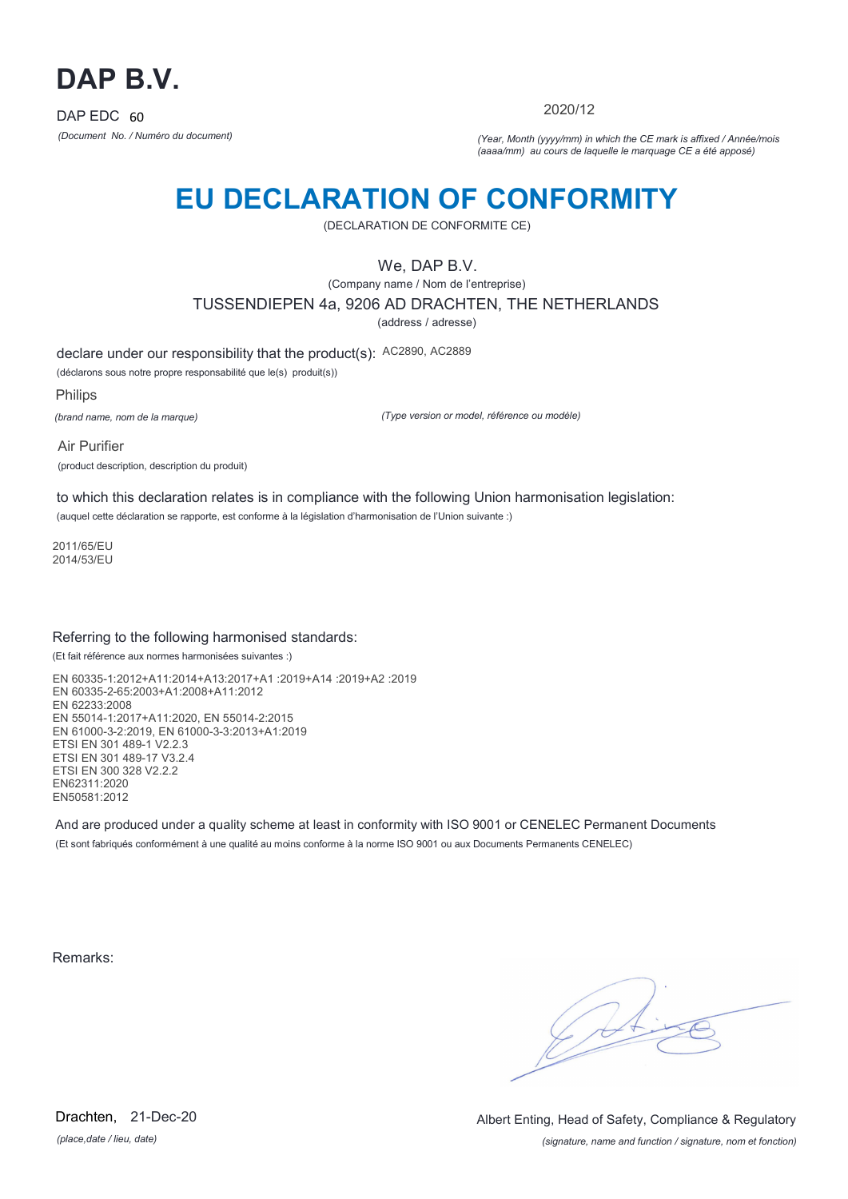

2020/12

*(Document No. / Numéro du document) (Year, Month (yyyy/mm) in which the CE mark is affixed / Année/mois (aaaa/mm) au cours de laquelle le marquage CE a été apposé)*

# **EU DECLARATION OF CONFORMITY**

(DECLARATION DE CONFORMITE CE)

We, DAP B.V.

(Company name / Nom de l'entreprise) TUSSENDIEPEN 4a, 9206 AD DRACHTEN, THE NETHERLANDS

(address / adresse)

declare under our responsibility that the product(s): AC2890, AC2889

(déclarons sous notre propre responsabilité que le(s) produit(s))

Philips *(brand name, nom de la marque)*

*(Type version or model, référence ou modèle)*

Air Purifier (product description, description du produit)

to which this declaration relates is in compliance with the following Union harmonisation legislation: (auquel cette déclaration se rapporte, est conforme à la législation d'harmonisation de l'Union suivante :)

2011/65/EU 2014/53/EU

### Referring to the following harmonised standards:

(Et fait référence aux normes harmonisées suivantes :)

EN 60335-1:2012+A11:2014+A13:2017+A1 :2019+A14 :2019+A2 :2019 EN 60335-2-65:2003+A1:2008+A11:2012 EN 62233:2008 EN 55014-1:2017+A11:2020, EN 55014-2:2015 EN 61000-3-2:2019, EN 61000-3-3:2013+A1:2019 ETSI EN 301 489-1 V2.2.3 ETSI EN 301 489-17 V3.2.4 ETSI EN 300 328 V2.2.2 EN62311:2020 EN50581:2012

And are produced under a quality scheme at least in conformity with ISO 9001 or CENELEC Permanent Documents (Et sont fabriqués conformément à une qualité au moins conforme à la norme ISO 9001 ou aux Documents Permanents CENELEC)

Remarks:

*(place,date / lieu, date)* Drachten, 21-Dec-20

*(signature, name and function / signature, nom et fonction)* Albert Enting, Head of Safety, Compliance & Regulatory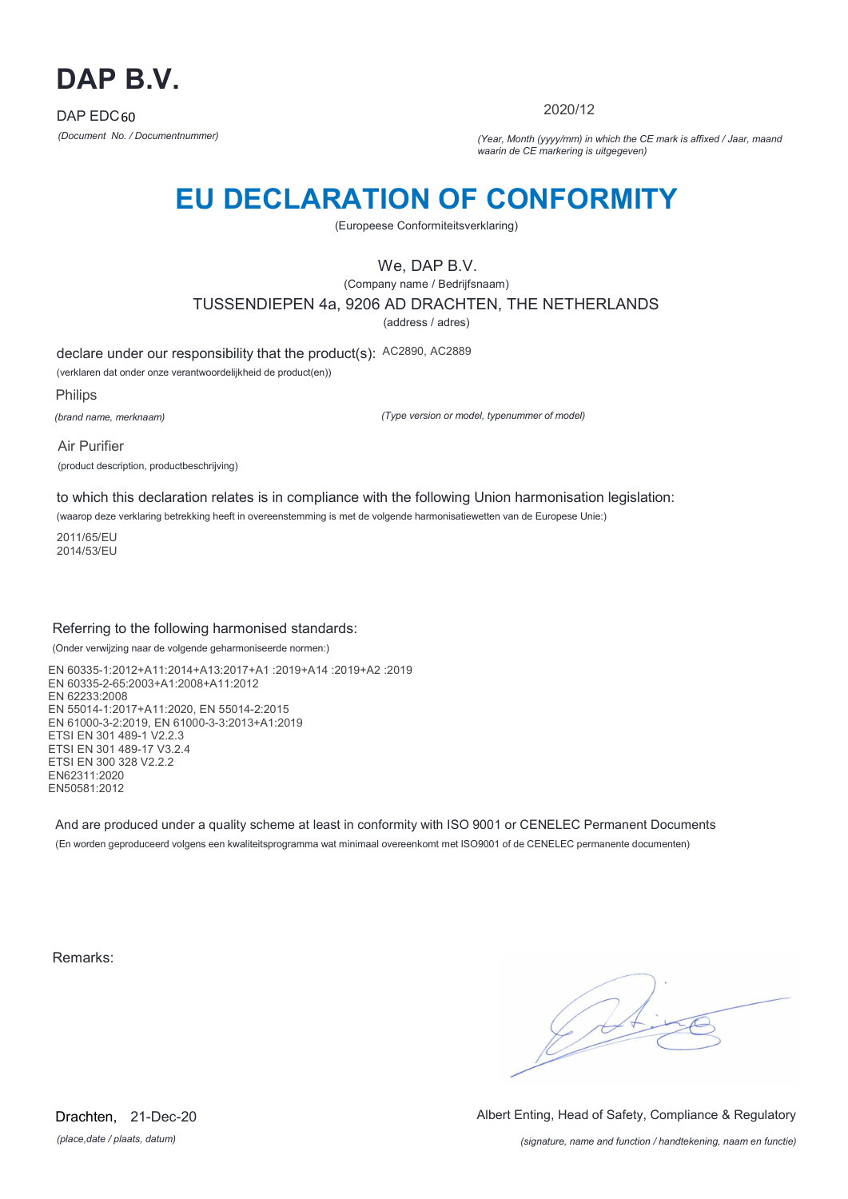

2020/12

*(Document No. / Documentnummer) (Year, Month (yyyy/mm) in which the CE mark is affixed / Jaar, maand waarin de CE markering is uitgegeven)*

# **EU DECLARATION OF CONFORMITY**

(Europeese Conformiteitsverklaring)

We, DAP B.V.

(Company name / Bedrijfsnaam) TUSSENDIEPEN 4a, 9206 AD DRACHTEN, THE NETHERLANDS (address / adres)

declare under our responsibility that the product(s): AC2890, AC2889

(verklaren dat onder onze verantwoordelijkheid de product(en))

Philips

*(brand name, merknaam)*

*(Type version or model, typenummer of model)*

Air Purifier (product description, productbeschrijving)

to which this declaration relates is in compliance with the following Union harmonisation legislation:

(waarop deze verklaring betrekking heeft in overeenstemming is met de volgende harmonisatiewetten van de Europese Unie:)

2011/65/EU 2014/53/EU

### Referring to the following harmonised standards:

(Onder verwijzing naar de volgende geharmoniseerde normen:)

EN 60335-1:2012+A11:2014+A13:2017+A1 :2019+A14 :2019+A2 :2019 EN 60335-2-65:2003+A1:2008+A11:2012 EN 62233:2008 EN 55014-1:2017+A11:2020, EN 55014-2:2015 EN 61000-3-2:2019, EN 61000-3-3:2013+A1:2019 ETSI EN 301 489-1 V2.2.3 ETSI EN 301 489-17 V3.2.4 ETSI EN 300 328 V2.2.2 EN62311:2020 EN50581:2012

And are produced under a quality scheme at least in conformity with ISO 9001 or CENELEC Permanent Documents (En worden geproduceerd volgens een kwaliteitsprogramma wat minimaal overeenkomt met ISO9001 of de CENELEC permanente documenten)

Remarks:

 $\sqrt{14}$ 

*(place,date / plaats, datum)* Drachten, 21-Dec-20 Albert Enting, Head of Safety, Compliance & Regulatory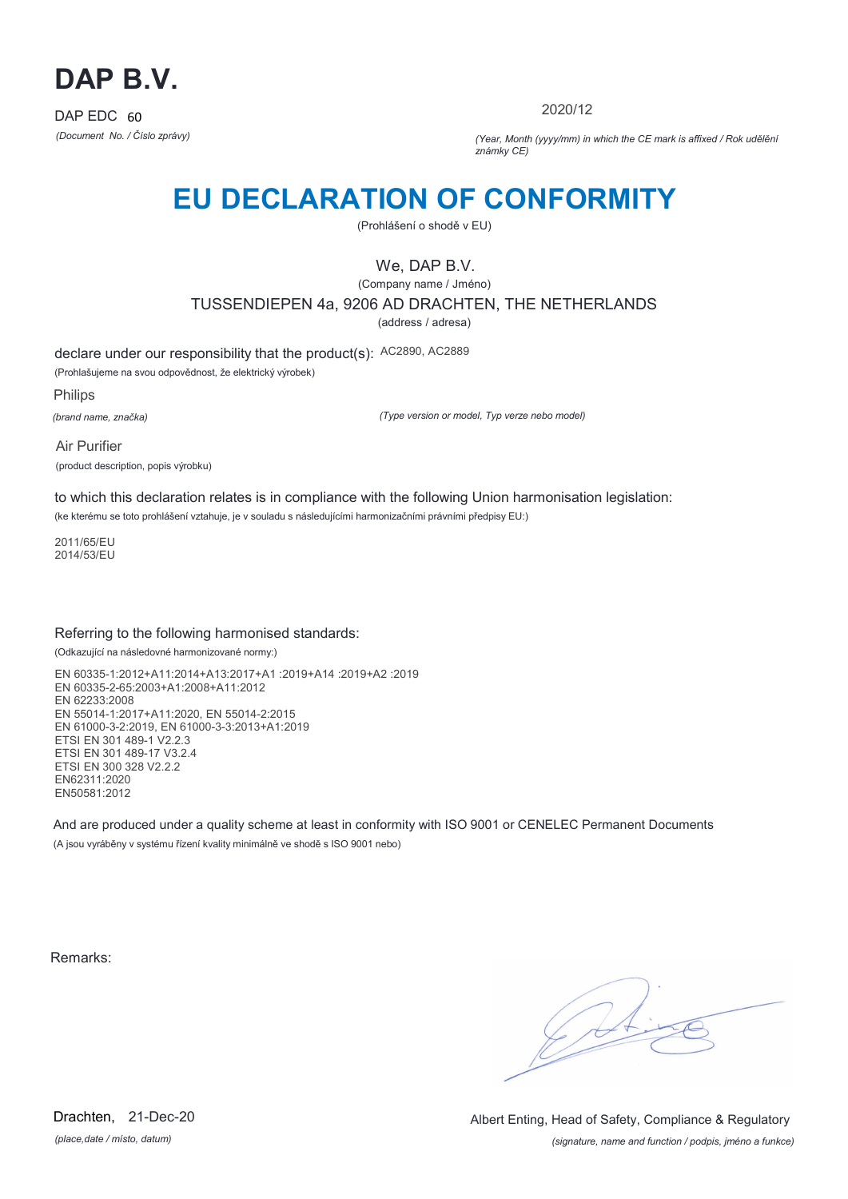

2020/12

*(Document No. / Číslo zprávy) (Year, Month (yyyy/mm) in which the CE mark is affixed / Rok udělění známky CE)*

# **EU DECLARATION OF CONFORMITY**

(Prohlášení o shodě v EU)

## We, DAP B.V.

(Company name / Jméno) TUSSENDIEPEN 4a, 9206 AD DRACHTEN, THE NETHERLANDS

(address / adresa)

declare under our responsibility that the product(s): AC2890, AC2889

(Prohlašujeme na svou odpovědnost, že elektrický výrobek)

Philips

*(brand name, značka)*

*(Type version or model, Typ verze nebo model)*

Air Purifier (product description, popis výrobku)

to which this declaration relates is in compliance with the following Union harmonisation legislation:

(ke kterému se toto prohlášení vztahuje, je v souladu s následujícími harmonizačními právními předpisy EU:)

2011/65/EU 2014/53/EU

### Referring to the following harmonised standards:

(Odkazující na následovné harmonizované normy:)

EN 60335-1:2012+A11:2014+A13:2017+A1 :2019+A14 :2019+A2 :2019 EN 60335-2-65:2003+A1:2008+A11:2012 EN 62233:2008 EN 55014-1:2017+A11:2020, EN 55014-2:2015 EN 61000-3-2:2019, EN 61000-3-3:2013+A1:2019 ETSI EN 301 489-1 V2.2.3 ETSI EN 301 489-17 V3.2.4 ETSI EN 300 328 V2.2.2 EN62311:2020 EN50581:2012

And are produced under a quality scheme at least in conformity with ISO 9001 or CENELEC Permanent Documents (A jsou vyráběny v systému řízení kvality minimálně ve shodě s ISO 9001 nebo)

Remarks:

 $\sqrt{1}$ 

*(place,date / místo, datum)* Drachten, 21-Dec-20

*(signature, name and function / podpis, jméno a funkce)* Albert Enting, Head of Safety, Compliance & Regulatory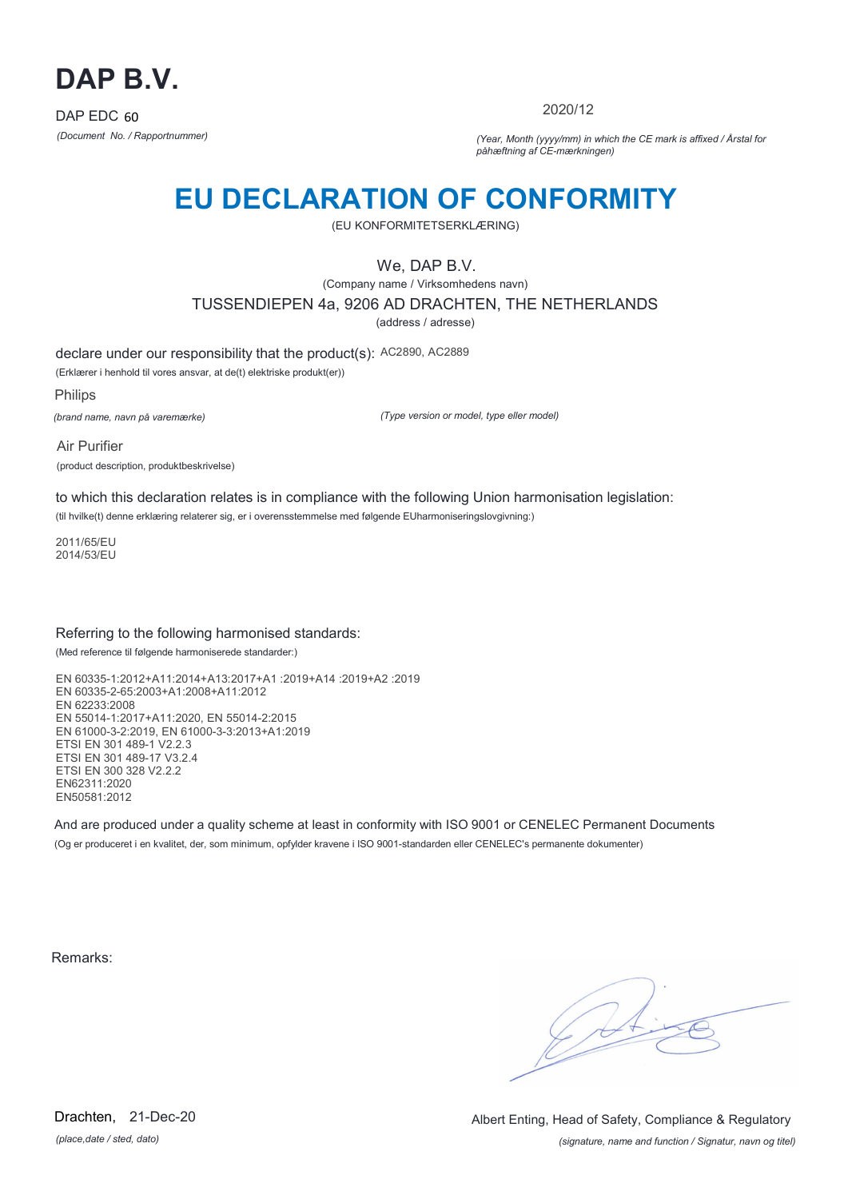

2020/12

*(Document No. / Rapportnummer) (Year, Month (yyyy/mm) in which the CE mark is affixed / Årstal for påhæftning af CE-mærkningen)*

# **EU DECLARATION OF CONFORMITY**

(EU KONFORMITETSERKLÆRING)

We, DAP B.V.

(Company name / Virksomhedens navn) TUSSENDIEPEN 4a, 9206 AD DRACHTEN, THE NETHERLANDS

(address / adresse)

declare under our responsibility that the product(s): AC2890, AC2889

(Erklærer i henhold til vores ansvar, at de(t) elektriske produkt(er))

Philips

*(brand name, navn på varemærke)*

*(Type version or model, type eller model)*

Air Purifier (product description, produktbeskrivelse)

to which this declaration relates is in compliance with the following Union harmonisation legislation:

(til hvilke(t) denne erklæring relaterer sig, er i overensstemmelse med følgende EUharmoniseringslovgivning:)

2011/65/EU 2014/53/EU

### Referring to the following harmonised standards:

(Med reference til følgende harmoniserede standarder:)

EN 60335-1:2012+A11:2014+A13:2017+A1 :2019+A14 :2019+A2 :2019 EN 60335-2-65:2003+A1:2008+A11:2012 EN 62233:2008 EN 55014-1:2017+A11:2020, EN 55014-2:2015 EN 61000-3-2:2019, EN 61000-3-3:2013+A1:2019 ETSI EN 301 489-1 V2.2.3 ETSI EN 301 489-17 V3.2.4 ETSI EN 300 328 V2.2.2 EN62311:2020 EN50581:2012

And are produced under a quality scheme at least in conformity with ISO 9001 or CENELEC Permanent Documents (Og er produceret i en kvalitet, der, som minimum, opfylder kravene i ISO 9001-standarden eller CENELEC's permanente dokumenter)

Remarks:

 $\sqrt{11}$ 

*(place,date / sted, dato)* Drachten, 21-Dec-20

*(signature, name and function / Signatur, navn og titel)* Albert Enting, Head of Safety, Compliance & Regulatory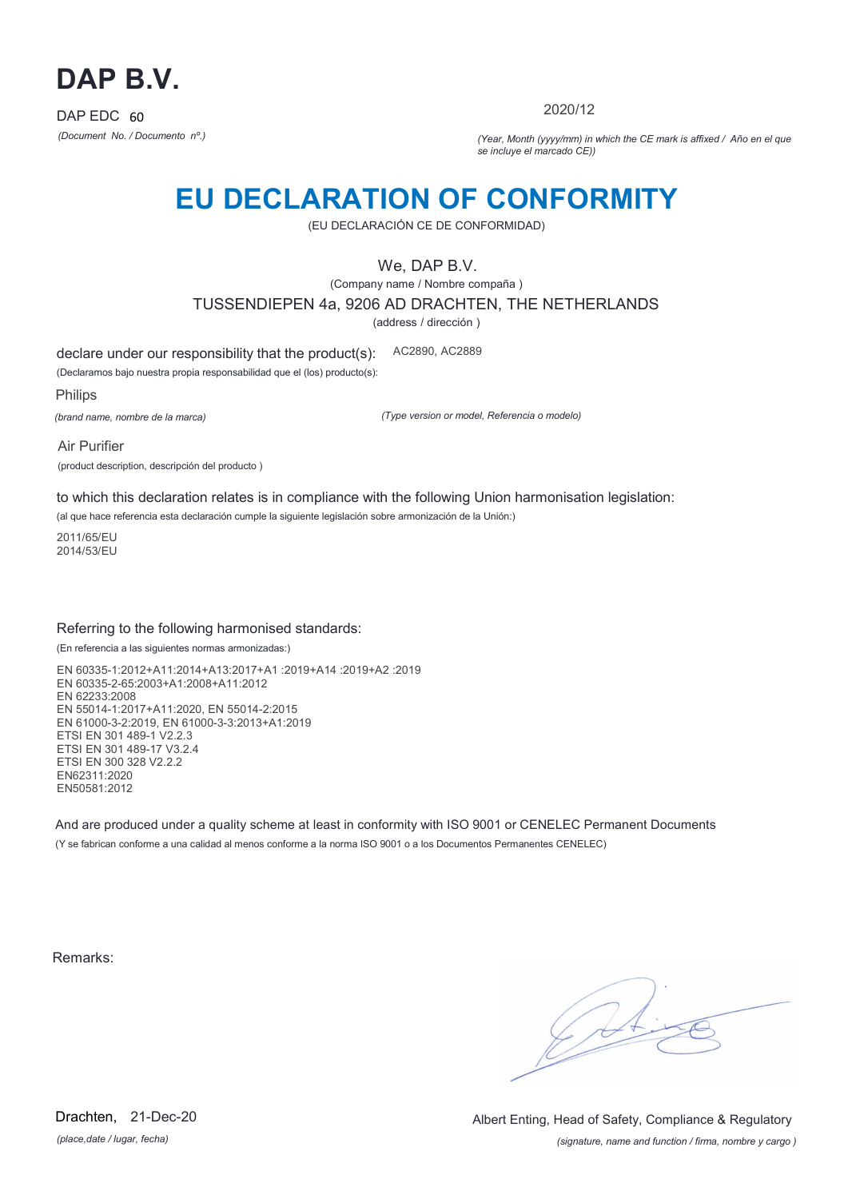

2020/12

*(Document No. / Documento nº.) (Year, Month (yyyy/mm) in which the CE mark is affixed / Año en el que se incluye el marcado CE))*

## **EU DECLARATION OF CONFORMITY**

(EU DECLARACIÓN CE DE CONFORMIDAD)

We, DAP B.V.

(Company name / Nombre compaña ) TUSSENDIEPEN 4a, 9206 AD DRACHTEN, THE NETHERLANDS

(address / dirección )

declare under our responsibility that the product(s): AC2890, AC2889

(Declaramos bajo nuestra propia responsabilidad que el (los) producto(s):

Philips

*(brand name, nombre de la marca)*

*(Type version or model, Referencia o modelo)*

Air Purifier (product description, descripción del producto )

to which this declaration relates is in compliance with the following Union harmonisation legislation:

(al que hace referencia esta declaración cumple la siguiente legislación sobre armonización de la Unión:)

2011/65/EU 2014/53/EU

### Referring to the following harmonised standards:

(En referencia a las siguientes normas armonizadas:)

EN 60335-1:2012+A11:2014+A13:2017+A1 :2019+A14 :2019+A2 :2019 EN 60335-2-65:2003+A1:2008+A11:2012 EN 62233:2008 EN 55014-1:2017+A11:2020, EN 55014-2:2015 EN 61000-3-2:2019, EN 61000-3-3:2013+A1:2019 ETSI EN 301 489-1 V2.2.3 ETSI EN 301 489-17 V3.2.4 ETSI EN 300 328 V2.2.2 EN62311:2020 EN50581:2012

And are produced under a quality scheme at least in conformity with ISO 9001 or CENELEC Permanent Documents (Y se fabrican conforme a una calidad al menos conforme a la norma ISO 9001 o a los Documentos Permanentes CENELEC)

Remarks:

*(place,date / lugar, fecha)* Drachten, 21-Dec-20

*(signature, name and function / firma, nombre y cargo )* Albert Enting, Head of Safety, Compliance & Regulatory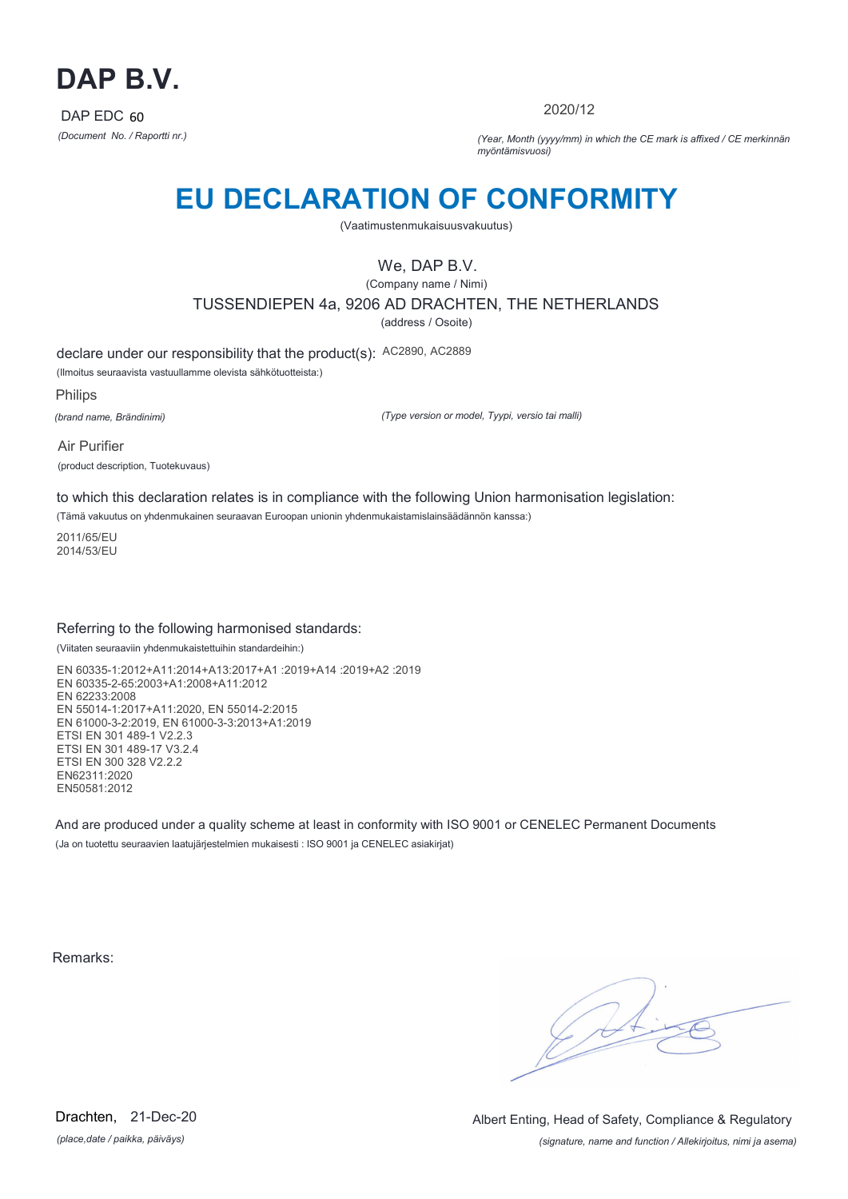

2020/12

*(Document No. / Raportti nr.) (Year, Month (yyyy/mm) in which the CE mark is affixed / CE merkinnän myöntämisvuosi)*

# **EU DECLARATION OF CONFORMITY**

(Vaatimustenmukaisuusvakuutus)

We, DAP B.V.

(Company name / Nimi) TUSSENDIEPEN 4a, 9206 AD DRACHTEN, THE NETHERLANDS (address / Osoite)

declare under our responsibility that the product(s): AC2890, AC2889

(Ilmoitus seuraavista vastuullamme olevista sähkötuotteista:)

Philips

*(brand name, Brändinimi)*

*(Type version or model, Tyypi, versio tai malli)*

Air Purifier (product description, Tuotekuvaus)

to which this declaration relates is in compliance with the following Union harmonisation legislation:

(Tämä vakuutus on yhdenmukainen seuraavan Euroopan unionin yhdenmukaistamislainsäädännön kanssa:)

2011/65/EU 2014/53/EU

### Referring to the following harmonised standards:

(Viitaten seuraaviin yhdenmukaistettuihin standardeihin:)

EN 60335-1:2012+A11:2014+A13:2017+A1 :2019+A14 :2019+A2 :2019 EN 60335-2-65:2003+A1:2008+A11:2012 EN 62233:2008 EN 55014-1:2017+A11:2020, EN 55014-2:2015 EN 61000-3-2:2019, EN 61000-3-3:2013+A1:2019 ETSI EN 301 489-1 V2.2.3 ETSI EN 301 489-17 V3.2.4 ETSI EN 300 328 V2.2.2 EN62311:2020 EN50581:2012

And are produced under a quality scheme at least in conformity with ISO 9001 or CENELEC Permanent Documents (Ja on tuotettu seuraavien laatujärjestelmien mukaisesti : ISO 9001 ja CENELEC asiakirjat)

Remarks:

 $\sqrt{4}$ 

*(place,date / paikka, päiväys)* Drachten, 21-Dec-20

*(signature, name and function / Allekirjoitus, nimi ja asema)* Albert Enting, Head of Safety, Compliance & Regulatory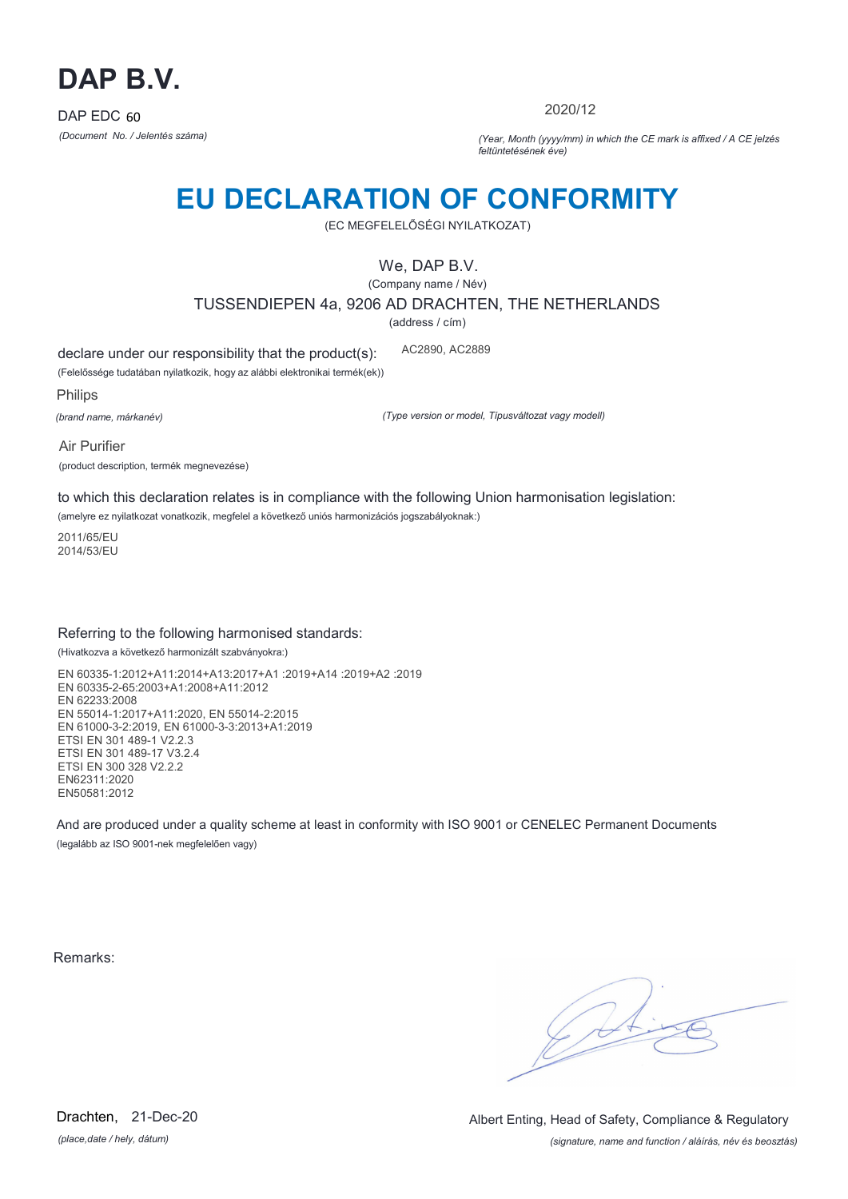

2020/12

*(Document No. / Jelentés száma) (Year, Month (yyyy/mm) in which the CE mark is affixed / A CE jelzés feltüntetésének éve)*

# **EU DECLARATION OF CONFORMITY**

(EC MEGFELELŐSÉGI NYILATKOZAT)

We, DAP B.V.

(Company name / Név)

TUSSENDIEPEN 4a, 9206 AD DRACHTEN, THE NETHERLANDS

(address / cím)

declare under our responsibility that the product(s): AC2890, AC2889

(Felelőssége tudatában nyilatkozik, hogy az alábbi elektronikai termék(ek))

Philips

*(brand name, márkanév)*

*(Type version or model, Típusváltozat vagy modell)*

Air Purifier (product description, termék megnevezése)

to which this declaration relates is in compliance with the following Union harmonisation legislation:

(amelyre ez nyilatkozat vonatkozik, megfelel a következő uniós harmonizációs jogszabályoknak:)

2011/65/EU 2014/53/EU

### Referring to the following harmonised standards:

(Hivatkozva a következő harmonizált szabványokra:)

EN 60335-1:2012+A11:2014+A13:2017+A1 :2019+A14 :2019+A2 :2019 EN 60335-2-65:2003+A1:2008+A11:2012 EN 62233:2008 EN 55014-1:2017+A11:2020, EN 55014-2:2015 EN 61000-3-2:2019, EN 61000-3-3:2013+A1:2019 ETSI EN 301 489-1 V2.2.3 ETSI EN 301 489-17 V3.2.4 ETSI EN 300 328 V2.2.2 EN62311:2020 EN50581:2012

And are produced under a quality scheme at least in conformity with ISO 9001 or CENELEC Permanent Documents (legalább az ISO 9001-nek megfelelően vagy)

Remarks:

 $\sqrt{11}$ 

*(place,date / hely, dátum)* Drachten, 21-Dec-20

*(signature, name and function / aláírás, név és beosztás)* Albert Enting, Head of Safety, Compliance & Regulatory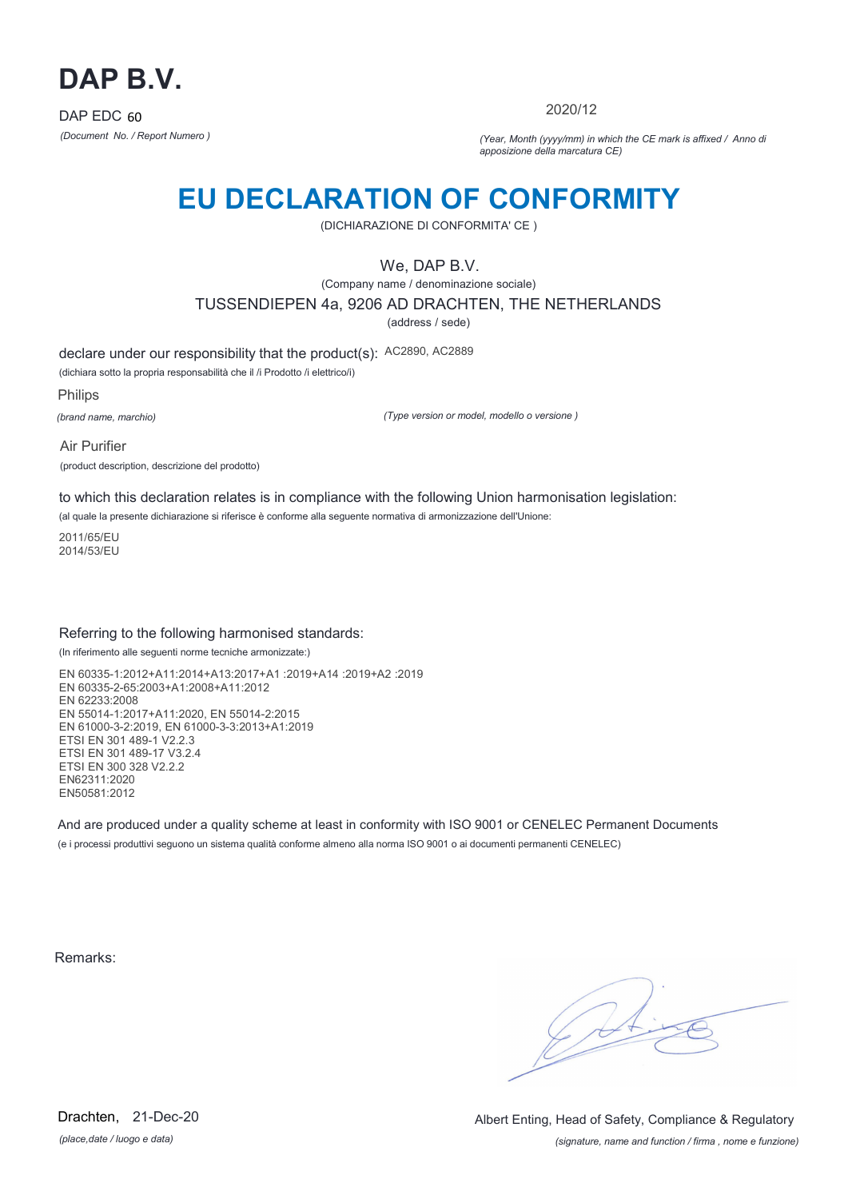

2020/12

*(Document No. / Report Numero ) (Year, Month (yyyy/mm) in which the CE mark is affixed / Anno di apposizione della marcatura CE)*

## **EU DECLARATION OF CONFORMITY**

(DICHIARAZIONE DI CONFORMITA' CE )

We, DAP B.V.

(Company name / denominazione sociale) TUSSENDIEPEN 4a, 9206 AD DRACHTEN, THE NETHERLANDS

(address / sede)

declare under our responsibility that the product(s): AC2890, AC2889

(dichiara sotto la propria responsabilità che il /i Prodotto /i elettrico/i)

Philips

*(brand name, marchio)*

*(Type version or model, modello o versione )*

Air Purifier (product description, descrizione del prodotto)

to which this declaration relates is in compliance with the following Union harmonisation legislation:

(al quale la presente dichiarazione si riferisce è conforme alla seguente normativa di armonizzazione dell'Unione:

2011/65/EU 2014/53/EU

### Referring to the following harmonised standards:

(In riferimento alle seguenti norme tecniche armonizzate:)

EN 60335-1:2012+A11:2014+A13:2017+A1 :2019+A14 :2019+A2 :2019 EN 60335-2-65:2003+A1:2008+A11:2012 EN 62233:2008 EN 55014-1:2017+A11:2020, EN 55014-2:2015 EN 61000-3-2:2019, EN 61000-3-3:2013+A1:2019 ETSI EN 301 489-1 V2.2.3 ETSI EN 301 489-17 V3.2.4 ETSI EN 300 328 V2.2.2 EN62311:2020 EN50581:2012

And are produced under a quality scheme at least in conformity with ISO 9001 or CENELEC Permanent Documents (e i processi produttivi seguono un sistema qualità conforme almeno alla norma ISO 9001 o ai documenti permanenti CENELEC)

Remarks:

 $\sqrt{11}$ 

*(place,date / luogo e data)* Drachten, 21-Dec-20

*(signature, name and function / firma , nome e funzione)* Albert Enting, Head of Safety, Compliance & Regulatory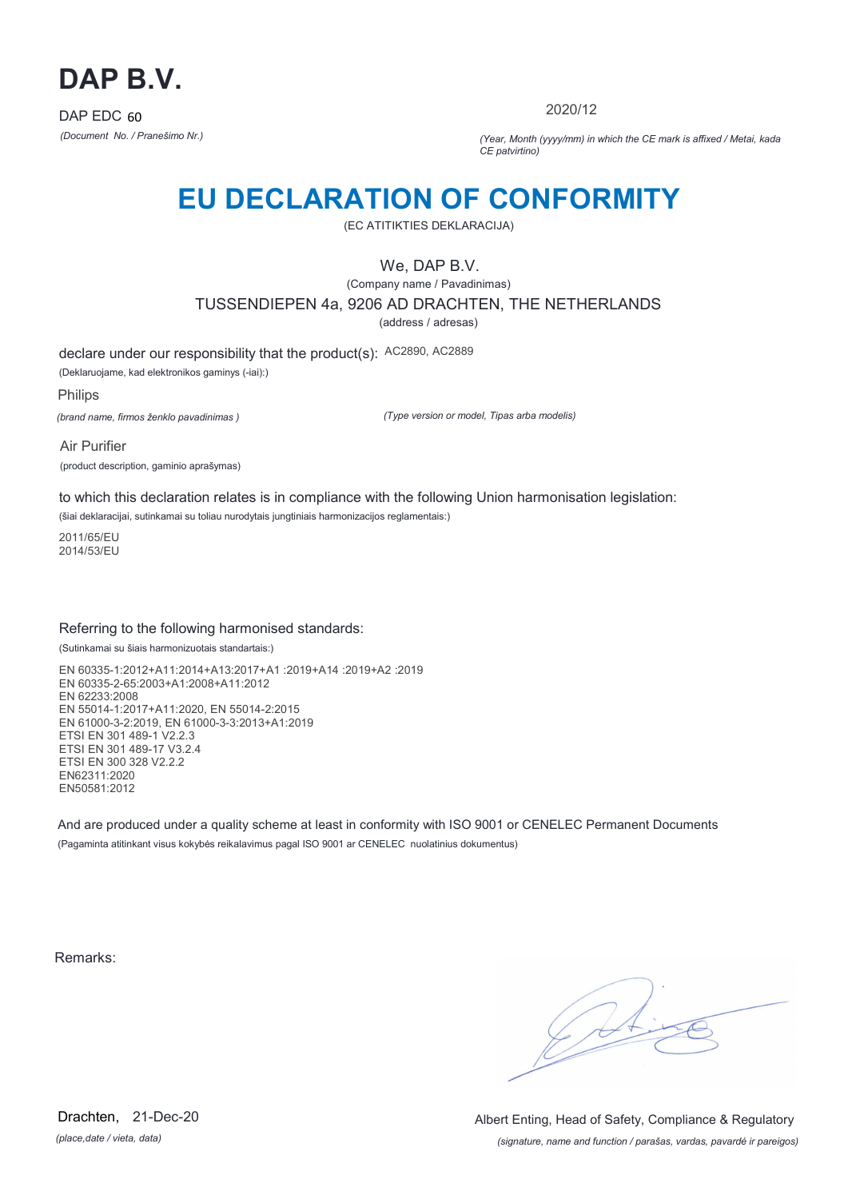

2020/12

*(Document No. / Pranešimo Nr.) (Year, Month (yyyy/mm) in which the CE mark is affixed / Metai, kada CE patvirtino)*

## **EU DECLARATION OF CONFORMITY**

(EC ATITIKTIES DEKLARACIJA)

We, DAP B.V.

(Company name / Pavadinimas) TUSSENDIEPEN 4a, 9206 AD DRACHTEN, THE NETHERLANDS

(address / adresas)

declare under our responsibility that the product(s): AC2890, AC2889

(Deklaruojame, kad elektronikos gaminys (-iai):)

Philips

*(brand name, firmos ženklo pavadinimas )*

*(Type version or model, Tipas arba modelis)*

Air Purifier (product description, gaminio aprašymas)

to which this declaration relates is in compliance with the following Union harmonisation legislation: (šiai deklaracijai, sutinkamai su toliau nurodytais jungtiniais harmonizacijos reglamentais:)

2011/65/EU

2014/53/EU

### Referring to the following harmonised standards:

(Sutinkamai su šiais harmonizuotais standartais:)

EN 60335-1:2012+A11:2014+A13:2017+A1 :2019+A14 :2019+A2 :2019 EN 60335-2-65:2003+A1:2008+A11:2012 EN 62233:2008 EN 55014-1:2017+A11:2020, EN 55014-2:2015 EN 61000-3-2:2019, EN 61000-3-3:2013+A1:2019 ETSI EN 301 489-1 V2.2.3 ETSI EN 301 489-17 V3.2.4 ETSI EN 300 328 V2.2.2 EN62311:2020 EN50581:2012

And are produced under a quality scheme at least in conformity with ISO 9001 or CENELEC Permanent Documents (Pagaminta atitinkant visus kokybės reikalavimus pagal ISO 9001 ar CENELEC nuolatinius dokumentus)

Remarks:

 $\sqrt{1}$ 

*(place,date / vieta, data)* Drachten, 21-Dec-20

*(signature, name and function / parašas, vardas, pavardė ir pareigos)* Albert Enting, Head of Safety, Compliance & Regulatory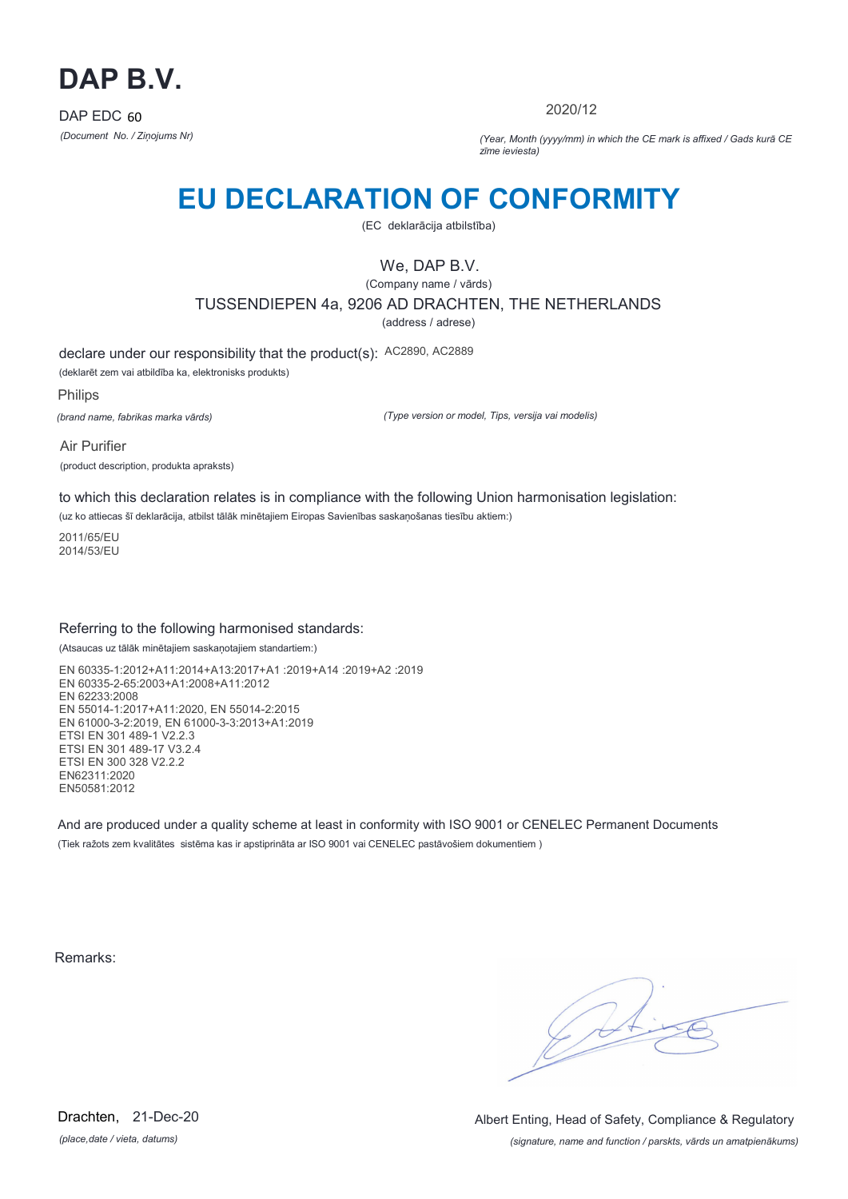

2020/12

*(Document No. / Ziņojums Nr) (Year, Month (yyyy/mm) in which the CE mark is affixed / Gads kurā CE zīme ieviesta)*

## **EU DECLARATION OF CONFORMITY**

(EC deklarācija atbilstība)

### We, DAP B.V.

(Company name / vārds) TUSSENDIEPEN 4a, 9206 AD DRACHTEN, THE NETHERLANDS

(address / adrese)

declare under our responsibility that the product(s): AC2890, AC2889

(deklarēt zem vai atbildība ka, elektronisks produkts)

Philips

*(brand name, fabrikas marka vārds)*

*(Type version or model, Tips, versija vai modelis)*

Air Purifier (product description, produkta apraksts)

to which this declaration relates is in compliance with the following Union harmonisation legislation:

(uz ko attiecas šī deklarācija, atbilst tālāk minētajiem Eiropas Savienības saskaņošanas tiesību aktiem:)

2011/65/EU 2014/53/EU

### Referring to the following harmonised standards:

(Atsaucas uz tālāk minētajiem saskaņotajiem standartiem:)

EN 60335-1:2012+A11:2014+A13:2017+A1 :2019+A14 :2019+A2 :2019 EN 60335-2-65:2003+A1:2008+A11:2012 EN 62233:2008 EN 55014-1:2017+A11:2020, EN 55014-2:2015 EN 61000-3-2:2019, EN 61000-3-3:2013+A1:2019 ETSI EN 301 489-1 V2.2.3 ETSI EN 301 489-17 V3.2.4 ETSI EN 300 328 V2.2.2 EN62311:2020 EN50581:2012

And are produced under a quality scheme at least in conformity with ISO 9001 or CENELEC Permanent Documents (Tiek ražots zem kvalitātes sistēma kas ir apstiprināta ar ISO 9001 vai CENELEC pastāvošiem dokumentiem )

Remarks:

 $\sqrt{11}$ 

*(place,date / vieta, datums)* Drachten, 21-Dec-20

*(signature, name and function / parskts, vārds un amatpienākums)* Albert Enting, Head of Safety, Compliance & Regulatory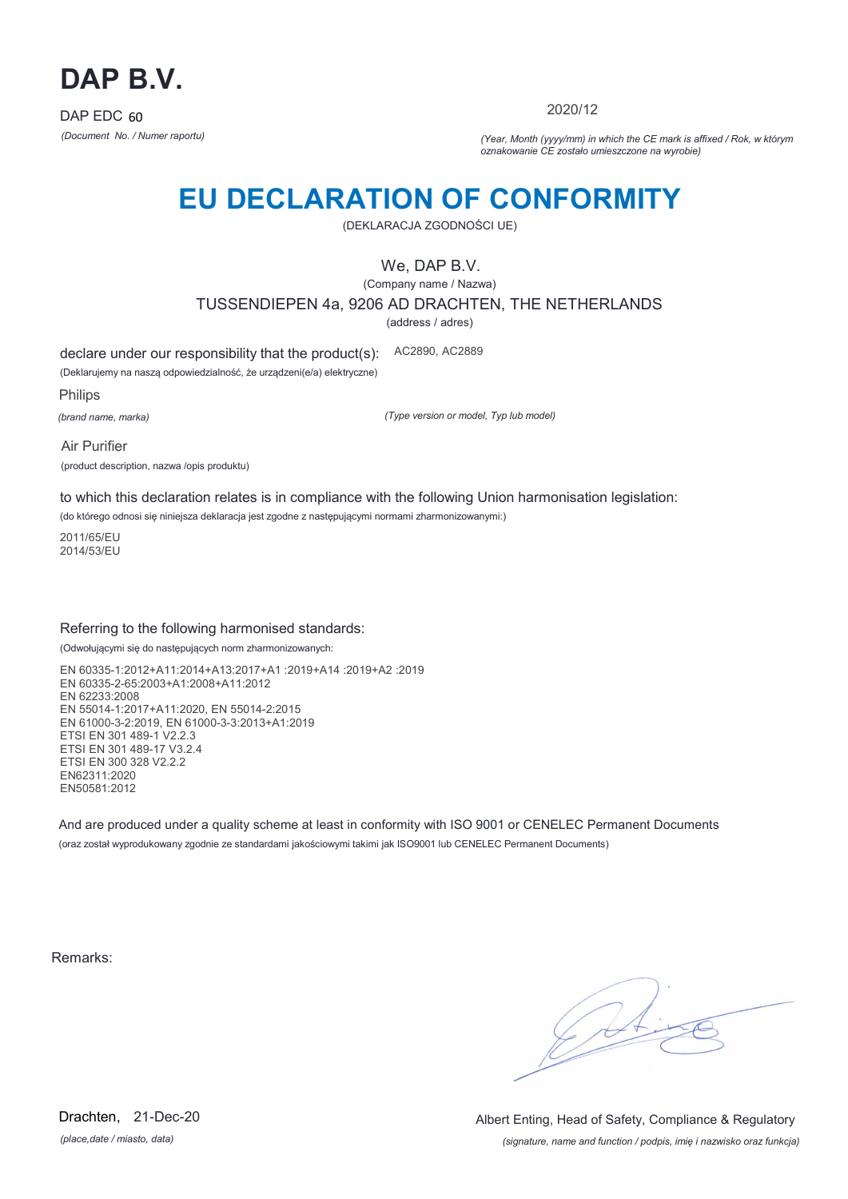

2020/12

*(Document No. / Numer raportu) (Year, Month (yyyy/mm) in which the CE mark is affixed / Rok, w którym oznakowanie CE zostało umieszczone na wyrobie)*

# **EU DECLARATION OF CONFORMITY**

(DEKLARACJA ZGODNOŚCI UE)

We, DAP B.V.

(Company name / Nazwa) TUSSENDIEPEN 4a, 9206 AD DRACHTEN, THE NETHERLANDS

(address / adres)

declare under our responsibility that the product(s): AC2890, AC2889

(Deklarujemy na naszą odpowiedzialność, że urządzeni(e/a) elektryczne)

Philips

*(brand name, marka)*

*(Type version or model, Typ lub model)*

Air Purifier (product description, nazwa /opis produktu)

to which this declaration relates is in compliance with the following Union harmonisation legislation:

(do którego odnosi się niniejsza deklaracja jest zgodne z następującymi normami zharmonizowanymi:)

2011/65/EU 2014/53/EU

### Referring to the following harmonised standards:

(Odwołującymi się do następujących norm zharmonizowanych:

EN 60335-1:2012+A11:2014+A13:2017+A1 :2019+A14 :2019+A2 :2019 EN 60335-2-65:2003+A1:2008+A11:2012 EN 62233:2008 EN 55014-1:2017+A11:2020, EN 55014-2:2015 EN 61000-3-2:2019, EN 61000-3-3:2013+A1:2019 ETSI EN 301 489-1 V2.2.3 ETSI EN 301 489-17 V3.2.4 ETSI EN 300 328 V2.2.2 EN62311:2020 EN50581:2012

And are produced under a quality scheme at least in conformity with ISO 9001 or CENELEC Permanent Documents (oraz został wyprodukowany zgodnie ze standardami jakościowymi takimi jak ISO9001 lub CENELEC Permanent Documents)

Remarks:

 $\sqrt{1}$ 

*(place,date / miasto, data)* Drachten, 21-Dec-20

*(signature, name and function / podpis, imię i nazwisko oraz funkcja)* Albert Enting, Head of Safety, Compliance & Regulatory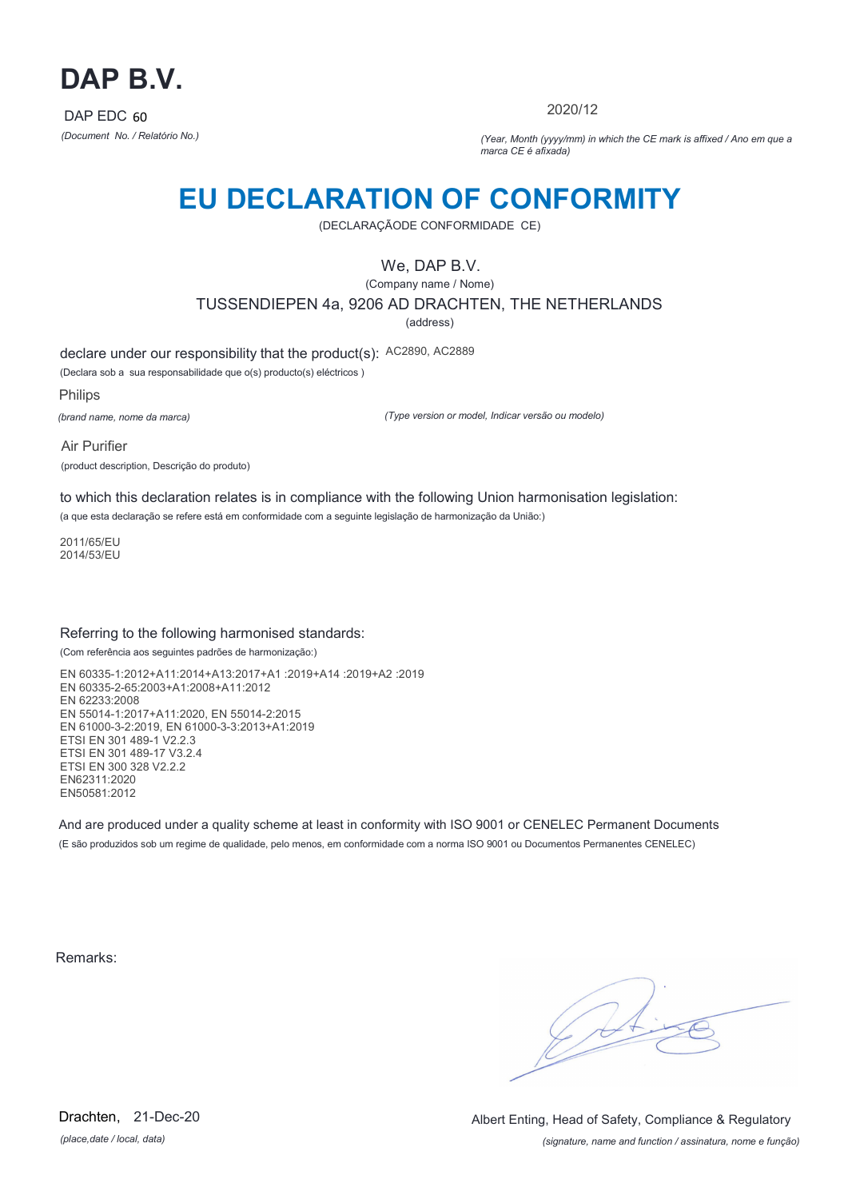

2020/12

*(Document No. / Relatório No.) (Year, Month (yyyy/mm) in which the CE mark is affixed / Ano em que a marca CE é afixada)*

## **EU DECLARATION OF CONFORMITY**

(DECLARAÇÃODE CONFORMIDADE CE)

### We, DAP B.V.

(Company name / Nome) TUSSENDIEPEN 4a, 9206 AD DRACHTEN, THE NETHERLANDS

(address)

declare under our responsibility that the product(s): AC2890, AC2889

(Declara sob a sua responsabilidade que o(s) producto(s) eléctricos )

Philips

*(brand name, nome da marca)*

*(Type version or model, Indicar versão ou modelo)*

Air Purifier (product description, Descrição do produto)

to which this declaration relates is in compliance with the following Union harmonisation legislation:

(a que esta declaração se refere está em conformidade com a seguinte legislação de harmonização da União:)

2011/65/EU 2014/53/EU

### Referring to the following harmonised standards:

(Com referência aos seguintes padrões de harmonização:)

EN 60335-1:2012+A11:2014+A13:2017+A1 :2019+A14 :2019+A2 :2019 EN 60335-2-65:2003+A1:2008+A11:2012 EN 62233:2008 EN 55014-1:2017+A11:2020, EN 55014-2:2015 EN 61000-3-2:2019, EN 61000-3-3:2013+A1:2019 ETSI EN 301 489-1 V2.2.3 ETSI EN 301 489-17 V3.2.4 ETSI EN 300 328 V2.2.2 EN62311:2020 EN50581:2012

And are produced under a quality scheme at least in conformity with ISO 9001 or CENELEC Permanent Documents (E são produzidos sob um regime de qualidade, pelo menos, em conformidade com a norma ISO 9001 ou Documentos Permanentes CENELEC)

Remarks:

 $\sqrt{4}$ 

*(place,date / local, data)* Drachten, 21-Dec-20

*(signature, name and function / assinatura, nome e função)* Albert Enting, Head of Safety, Compliance & Regulatory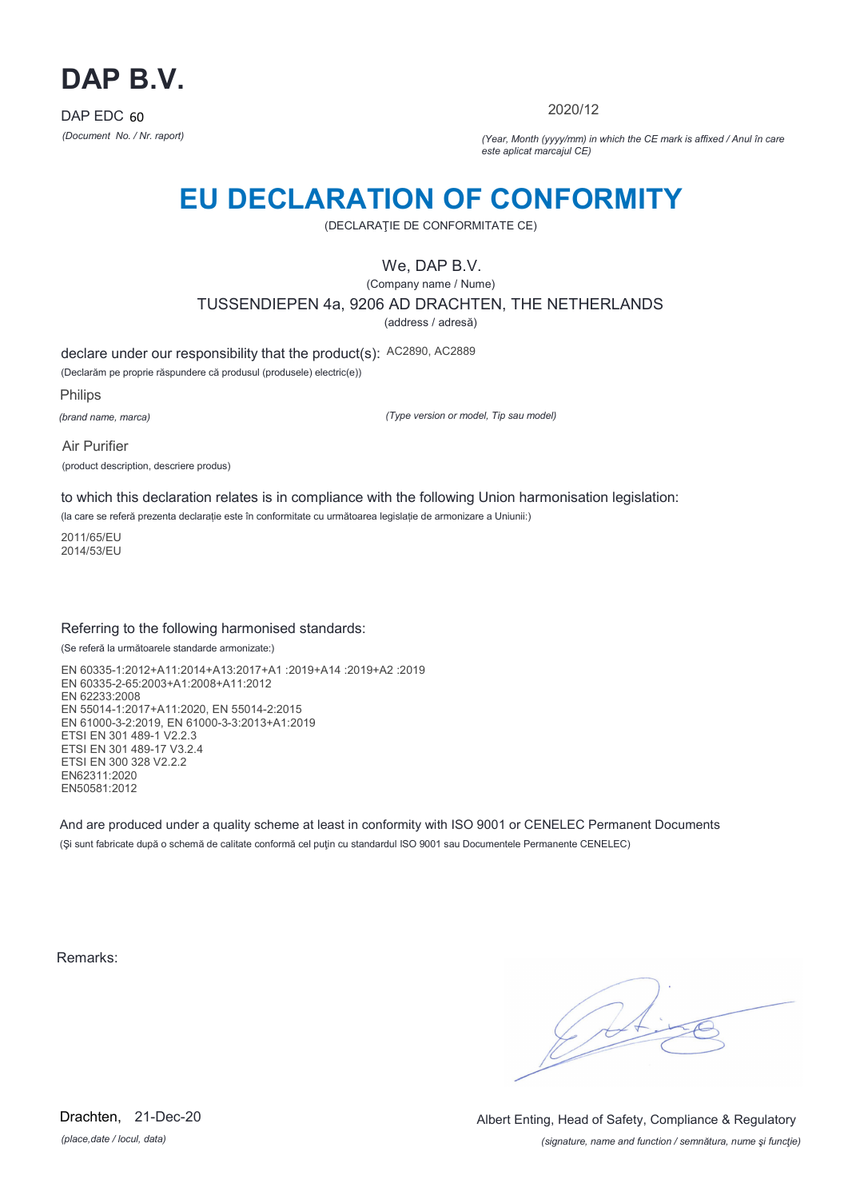

2020/12

*(Document No. / Nr. raport) (Year, Month (yyyy/mm) in which the CE mark is affixed / Anul în care este aplicat marcajul CE)*

## **EU DECLARATION OF CONFORMITY**

(DECLARAŢIE DE CONFORMITATE CE)

### We, DAP B.V.

(Company name / Nume)

TUSSENDIEPEN 4a, 9206 AD DRACHTEN, THE NETHERLANDS

(address / adresă)

declare under our responsibility that the product(s): AC2890, AC2889

(Declarăm pe proprie răspundere că produsul (produsele) electric(e))

Philips

*(brand name, marca)*

*(Type version or model, Tip sau model)*

Air Purifier (product description, descriere produs)

to which this declaration relates is in compliance with the following Union harmonisation legislation:

(la care se referă prezenta declarație este în conformitate cu următoarea legislație de armonizare a Uniunii:)

2011/65/EU 2014/53/EU

### Referring to the following harmonised standards:

(Se referă la următoarele standarde armonizate:)

EN 60335-1:2012+A11:2014+A13:2017+A1 :2019+A14 :2019+A2 :2019 EN 60335-2-65:2003+A1:2008+A11:2012 EN 62233:2008 EN 55014-1:2017+A11:2020, EN 55014-2:2015 EN 61000-3-2:2019, EN 61000-3-3:2013+A1:2019 ETSI EN 301 489-1 V2.2.3 ETSI EN 301 489-17 V3.2.4 ETSI EN 300 328 V2.2.2 EN62311:2020 EN50581:2012

And are produced under a quality scheme at least in conformity with ISO 9001 or CENELEC Permanent Documents (Şi sunt fabricate după o schemă de calitate conformă cel puţin cu standardul ISO 9001 sau Documentele Permanente CENELEC)

Remarks:

*(place,date / locul, data)* Drachten, 21-Dec-20

*(signature, name and function / semnătura, nume şi funcţie)* Albert Enting, Head of Safety, Compliance & Regulatory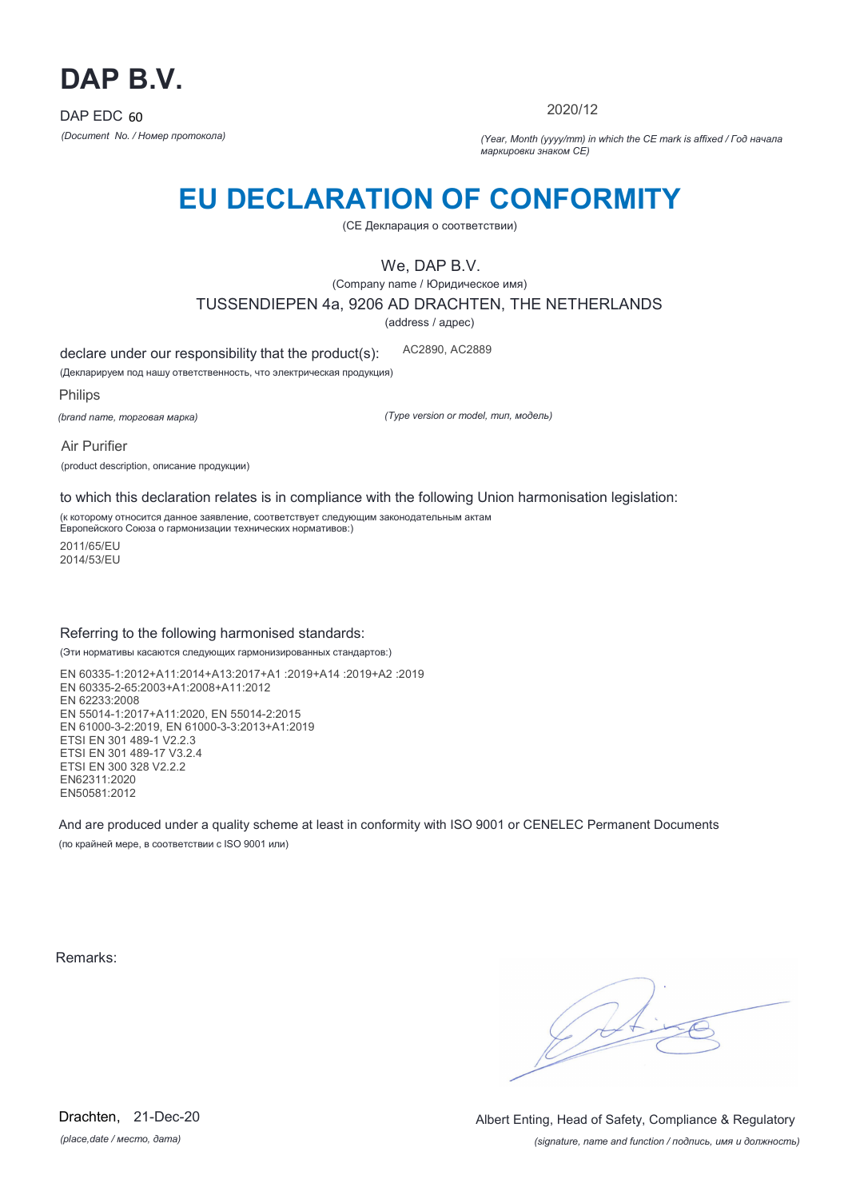

2020/12

*(Document No. / Номер протокола) (Year, Month (yyyy/mm) in which the CE mark is affixed / Год начала маркировки знаком CE)*

# **EU DECLARATION OF CONFORMITY**

(CE Декларация о соответствии)

We, DAP B.V.

(Company name / Юридическое имя)

TUSSENDIEPEN 4a, 9206 AD DRACHTEN, THE NETHERLANDS

(address / адрес)

declare under our responsibility that the product(s): AC2890, AC2889

(Декларируем под нашу ответственность, что электрическая продукция)

Philips

*(brand name, торговая марка)*

*(Type version or model, тип, модель)*

Air Purifier (product description, описание продукции)

to which this declaration relates is in compliance with the following Union harmonisation legislation:

(к которому относится данное заявление, соответствует следующим законодательным актам Европейского Союза о гармонизации технических нормативов:)

2011/65/EU 2014/53/EU

### Referring to the following harmonised standards:

(Эти нормативы касаются следующих гармонизированных стандартов:)

EN 60335-1:2012+A11:2014+A13:2017+A1 :2019+A14 :2019+A2 :2019 EN 60335-2-65:2003+A1:2008+A11:2012 EN 62233:2008 EN 55014-1:2017+A11:2020, EN 55014-2:2015 EN 61000-3-2:2019, EN 61000-3-3:2013+A1:2019 ETSI EN 301 489-1 V2.2.3 ETSI EN 301 489-17 V3.2.4 ETSI EN 300 328 V2.2.2 EN62311:2020 EN50581:2012

And are produced under a quality scheme at least in conformity with ISO 9001 or CENELEC Permanent Documents (по крайней мере, в соответствии с ISO 9001 или)

Remarks:

 $\sqrt{11}$ 

*(place,date / место, дата)* Drachten, 21-Dec-20

*(signature, name and function / подпись, имя и должность)* Albert Enting, Head of Safety, Compliance & Regulatory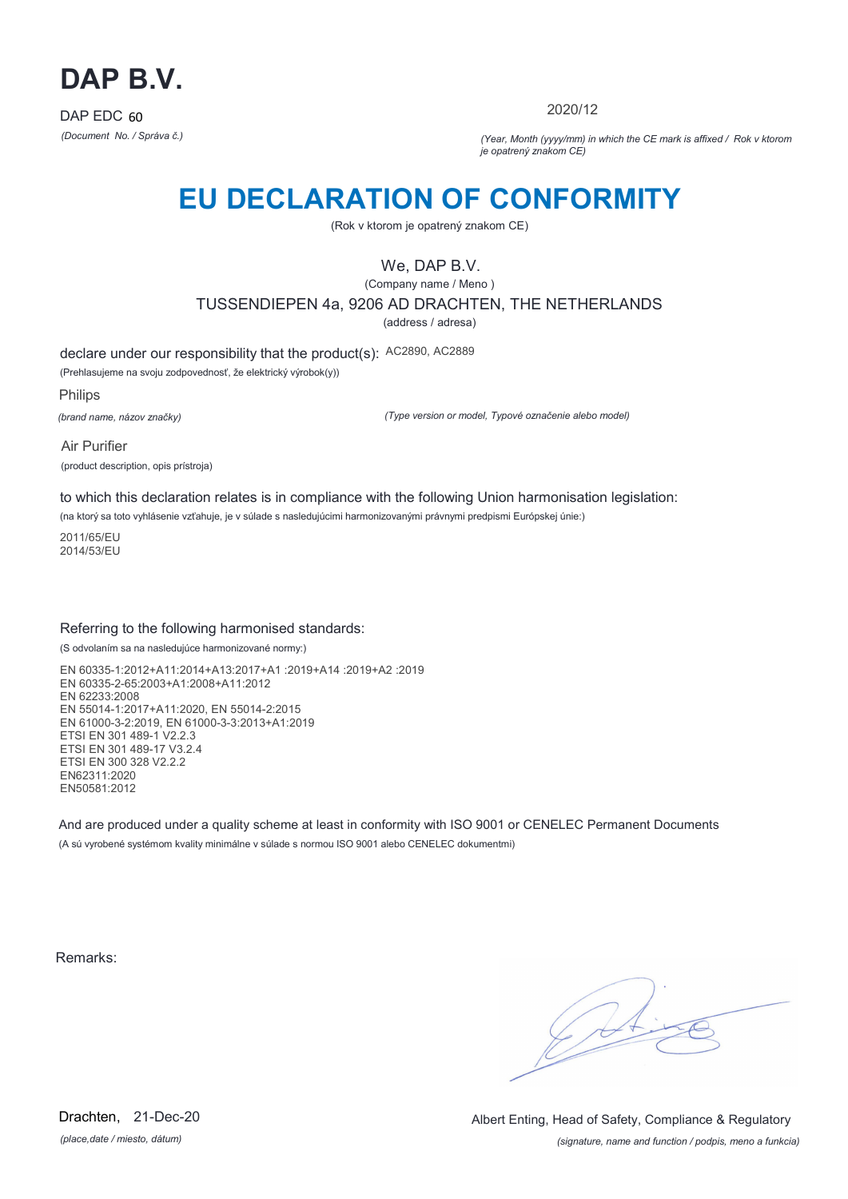

2020/12

*(Document No. / Správa č.) (Year, Month (yyyy/mm) in which the CE mark is affixed / Rok v ktorom je opatrený znakom CE)*

## **EU DECLARATION OF CONFORMITY**

(Rok v ktorom je opatrený znakom CE)

### We, DAP B.V.

(Company name / Meno )

TUSSENDIEPEN 4a, 9206 AD DRACHTEN, THE NETHERLANDS

(address / adresa)

declare under our responsibility that the product(s): AC2890, AC2889

(Prehlasujeme na svoju zodpovednosť, že elektrický výrobok(y))

Philips

*(brand name, názov značky)*

*(Type version or model, Typové označenie alebo model)*

Air Purifier (product description, opis prístroja)

to which this declaration relates is in compliance with the following Union harmonisation legislation:

(na ktorý sa toto vyhlásenie vzťahuje, je v súlade s nasledujúcimi harmonizovanými právnymi predpismi Európskej únie:)

2011/65/EU 2014/53/EU

### Referring to the following harmonised standards:

(S odvolaním sa na nasledujúce harmonizované normy:)

EN 60335-1:2012+A11:2014+A13:2017+A1 :2019+A14 :2019+A2 :2019 EN 60335-2-65:2003+A1:2008+A11:2012 EN 62233:2008 EN 55014-1:2017+A11:2020, EN 55014-2:2015 EN 61000-3-2:2019, EN 61000-3-3:2013+A1:2019 ETSI EN 301 489-1 V2.2.3 ETSI EN 301 489-17 V3.2.4 ETSI EN 300 328 V2.2.2 EN62311:2020 EN50581:2012

And are produced under a quality scheme at least in conformity with ISO 9001 or CENELEC Permanent Documents (A sú vyrobené systémom kvality minimálne v súlade s normou ISO 9001 alebo CENELEC dokumentmi)

Remarks:

 $\sqrt{14}$ 

*(place,date / miesto, dátum)* Drachten, 21-Dec-20

*(signature, name and function / podpis, meno a funkcia)* Albert Enting, Head of Safety, Compliance & Regulatory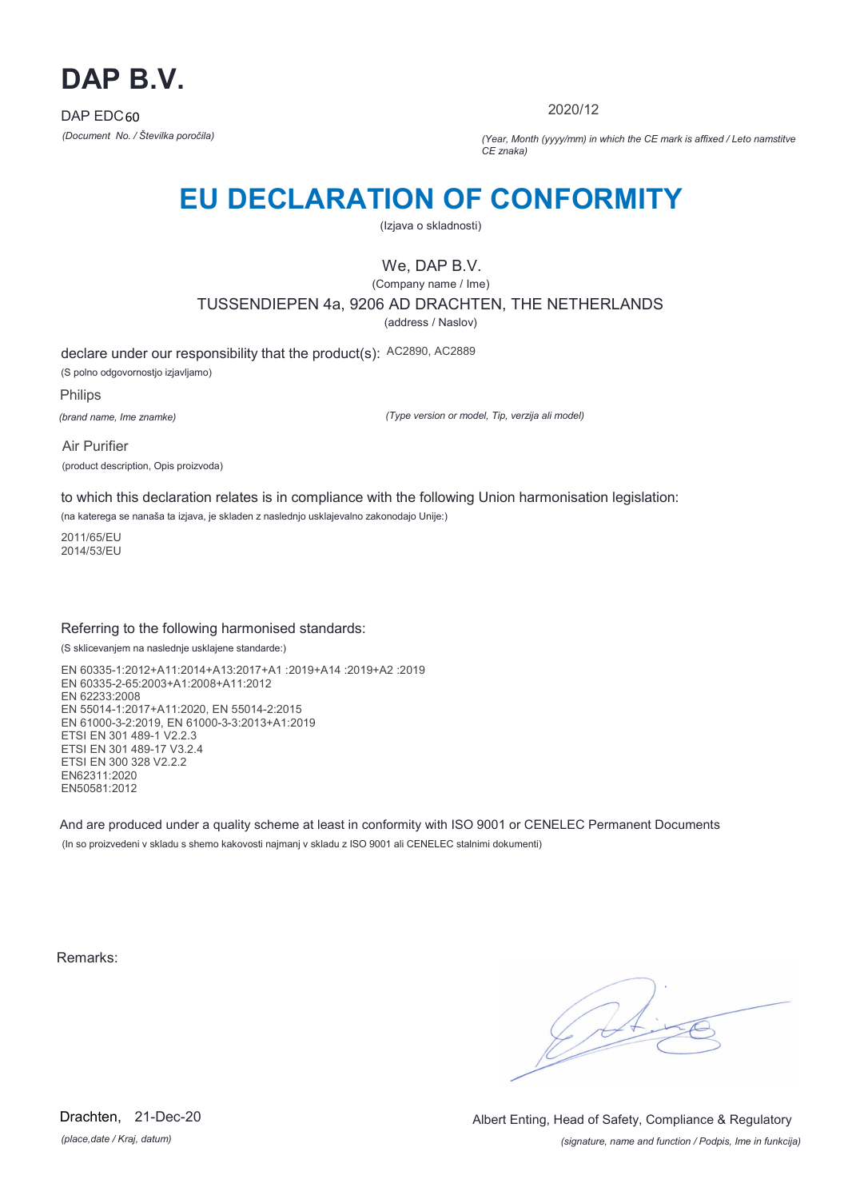

2020/12

*(Document No. / Številka poročila) (Year, Month (yyyy/mm) in which the CE mark is affixed / Leto namstitve CE znaka)*

# **EU DECLARATION OF CONFORMITY**

(Izjava o skladnosti)

## We, DAP B.V.

(Company name / Ime)

TUSSENDIEPEN 4a, 9206 AD DRACHTEN, THE NETHERLANDS

(address / Naslov)

declare under our responsibility that the product(s): AC2890, AC2889 (S polno odgovornostjo izjavljamo)

Philips

*(brand name, Ime znamke)*

*(Type version or model, Tip, verzija ali model)*

Air Purifier (product description, Opis proizvoda)

to which this declaration relates is in compliance with the following Union harmonisation legislation:

(na katerega se nanaša ta izjava, je skladen z naslednjo usklajevalno zakonodajo Unije:)

2011/65/EU 2014/53/EU

### Referring to the following harmonised standards:

(S sklicevanjem na naslednje usklajene standarde:)

EN 60335-1:2012+A11:2014+A13:2017+A1 :2019+A14 :2019+A2 :2019 EN 60335-2-65:2003+A1:2008+A11:2012 EN 62233:2008 EN 55014-1:2017+A11:2020, EN 55014-2:2015 EN 61000-3-2:2019, EN 61000-3-3:2013+A1:2019 ETSI EN 301 489-1 V2.2.3 ETSI EN 301 489-17 V3.2.4 ETSI EN 300 328 V2.2.2 EN62311:2020 EN50581:2012

And are produced under a quality scheme at least in conformity with ISO 9001 or CENELEC Permanent Documents (In so proizvedeni v skladu s shemo kakovosti najmanj v skladu z ISO 9001 ali CENELEC stalnimi dokumenti)

Remarks:

 $\sqrt{14}$ 

*(place,date / Kraj, datum)* Drachten, 21-Dec-20

*(signature, name and function / Podpis, Ime in funkcija)* Albert Enting, Head of Safety, Compliance & Regulatory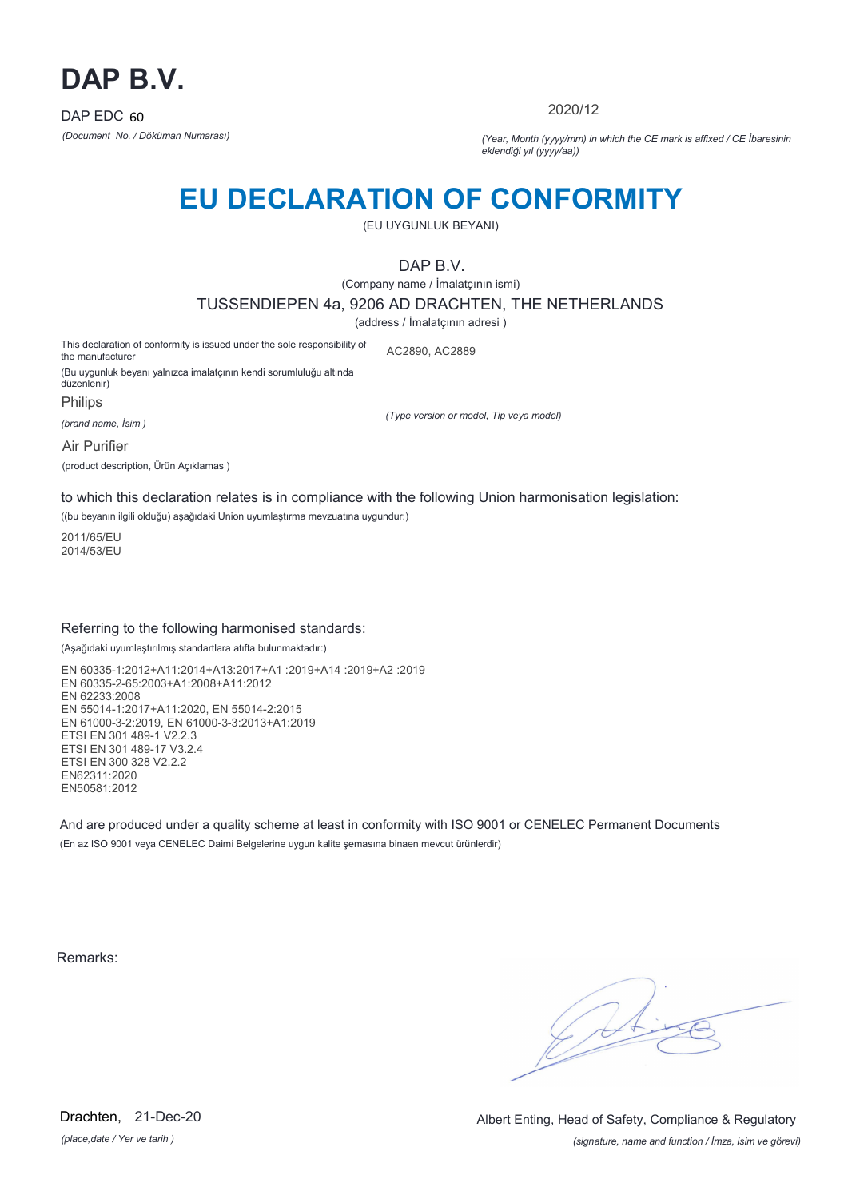

2020/12

*(Document No. / Döküman Numarası) (Year, Month (yyyy/mm) in which the CE mark is affixed / CE İbaresinin eklendiği yıl (yyyy/aa))*

## **EU DECLARATION OF CONFORMITY**

(EU UYGUNLUK BEYANI)

DAP B.V.

(Company name / İmalatçının ismi)

TUSSENDIEPEN 4a, 9206 AD DRACHTEN, THE NETHERLANDS

(address / İmalatçının adresi )

This declaration of conformity is issued under the sole responsibility of the manufacturer AC2890, AC2889

(Bu uygunluk beyanı yalnızca imalatçının kendi sorumluluğu altında düzenlenir)

Philips

*(brand name, İsim )*

*(Type version or model, Tip veya model)*

Air Purifier

(product description, Ürün Açıklamas )

to which this declaration relates is in compliance with the following Union harmonisation legislation:

((bu beyanın ilgili olduğu) aşağıdaki Union uyumlaştırma mevzuatına uygundur:)

2011/65/EU 2014/53/EU

### Referring to the following harmonised standards:

(Aşağıdaki uyumlaştırılmış standartlara atıfta bulunmaktadır:)

EN 60335-1:2012+A11:2014+A13:2017+A1 :2019+A14 :2019+A2 :2019 EN 60335-2-65:2003+A1:2008+A11:2012 EN 62233:2008 EN 55014-1:2017+A11:2020, EN 55014-2:2015 EN 61000-3-2:2019, EN 61000-3-3:2013+A1:2019 ETSI EN 301 489-1 V2.2.3 ETSI EN 301 489-17 V3.2.4 ETSI EN 300 328 V2.2.2 EN62311:2020 EN50581:2012

And are produced under a quality scheme at least in conformity with ISO 9001 or CENELEC Permanent Documents (En az ISO 9001 veya CENELEC Daimi Belgelerine uygun kalite şemasına binaen mevcut ürünlerdir)

Remarks:

*(place,date / Yer ve tarih )* Drachten, 21-Dec-20

*(signature, name and function / İmza, isim ve görevi)* Albert Enting, Head of Safety, Compliance & Regulatory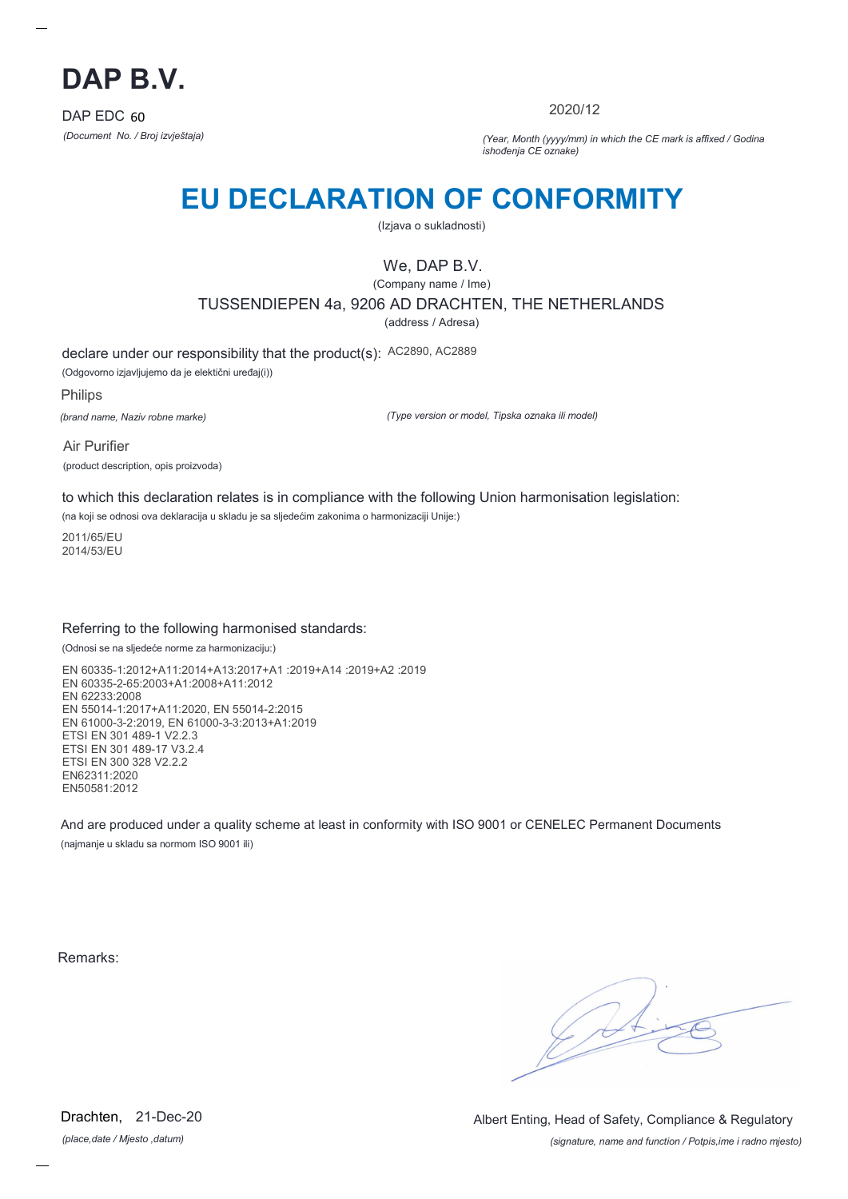

2020/12

*(Document No. / Broj izvještaja) (Year, Month (yyyy/mm) in which the CE mark is affixed / Godina ishođenja CE oznake)*

# **EU DECLARATION OF CONFORMITY**

(Izjava o sukladnosti)

## We, DAP B.V.

(Company name / Ime) TUSSENDIEPEN 4a, 9206 AD DRACHTEN, THE NETHERLANDS

(address / Adresa)

declare under our responsibility that the product(s): AC2890, AC2889

(Odgovorno izjavljujemo da je elektični uređaj(i))

Philips

*(brand name, Naziv robne marke)*

*(Type version or model, Tipska oznaka ili model)*

Air Purifier (product description, opis proizvoda)

to which this declaration relates is in compliance with the following Union harmonisation legislation:

(na koji se odnosi ova deklaracija u skladu je sa sljedećim zakonima o harmonizaciji Unije:)

2011/65/EU 2014/53/EU

### Referring to the following harmonised standards:

(Odnosi se na sljedeće norme za harmonizaciju:)

EN 60335-1:2012+A11:2014+A13:2017+A1 :2019+A14 :2019+A2 :2019 EN 60335-2-65:2003+A1:2008+A11:2012 EN 62233:2008 EN 55014-1:2017+A11:2020, EN 55014-2:2015 EN 61000-3-2:2019, EN 61000-3-3:2013+A1:2019 ETSI EN 301 489-1 V2.2.3 ETSI EN 301 489-17 V3.2.4 ETSI EN 300 328 V2.2.2 EN62311:2020 EN50581:2012

And are produced under a quality scheme at least in conformity with ISO 9001 or CENELEC Permanent Documents (najmanje u skladu sa normom ISO 9001 ili)

Remarks:

*(place,date / Mjesto ,datum)* Drachten, 21-Dec-20

*(signature, name and function / Potpis,ime i radno mjesto)* Albert Enting, Head of Safety, Compliance & Regulatory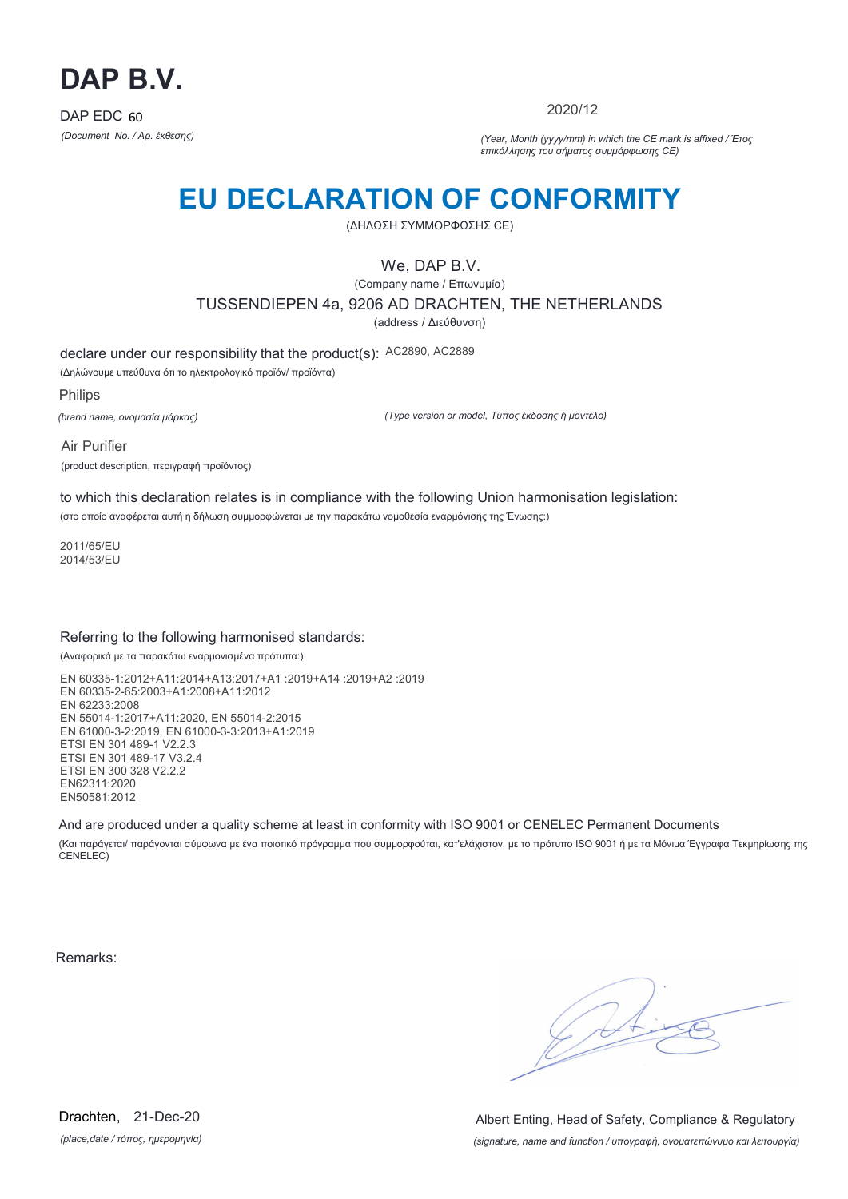

2020/12

*(Document No. / Αρ. έκθεσης) (Year, Month (yyyy/mm) in which the CE mark is affixed / Έτος επικόλλησης του σήματος συμμόρφωσης CE)*

# **EU DECLARATION OF CONFORMITY**

(ΔΗΛΩΣΗ ΣΥΜΜΟΡΦΩΣΗΣ CE)

We, DAP B.V.

(Company name / Επωνυμία) TUSSENDIEPEN 4a, 9206 AD DRACHTEN, THE NETHERLANDS (address / Διεύθυνση)

declare under our responsibility that the product(s): AC2890, AC2889

(Δηλώνουμε υπεύθυνα ότι το ηλεκτρολογικό προϊόν/ προϊόντα)

Philips *(brand name, ονομασία μάρκας)*

*(Type version or model, Τύπος έκδοσης ή μοντέλο)*

Air Purifier (product description, περιγραφή προϊόντος)

to which this declaration relates is in compliance with the following Union harmonisation legislation: (στο οποίο αναφέρεται αυτή η δήλωση συμμορφώνεται με την παρακάτω νομοθεσία εναρμόνισης της Ένωσης:)

2011/65/EU 2014/53/EU

### Referring to the following harmonised standards:

(Αναφορικά με τα παρακάτω εναρμονισμένα πρότυπα:)

EN 60335-1:2012+A11:2014+A13:2017+A1 :2019+A14 :2019+A2 :2019 EN 60335-2-65:2003+A1:2008+A11:2012 EN 62233:2008 EN 55014-1:2017+A11:2020, EN 55014-2:2015 EN 61000-3-2:2019, EN 61000-3-3:2013+A1:2019 ETSI EN 301 489-1 V2.2.3 ETSI EN 301 489-17 V3.2.4 ETSI EN 300 328 V2.2.2 EN62311:2020 EN50581:2012

And are produced under a quality scheme at least in conformity with ISO 9001 or CENELEC Permanent Documents

(Και παράγεται/ παράγονται σύμφωνα με ένα ποιοτικό πρόγραμμα που συμμορφούται, κατ'ελάχιστον, με το πρότυπο ISO 9001 ή με τα Μόνιμα Έγγραφα Τεκμηρίωσης της CENELEC)

Remarks:

 $\sqrt{11}$ 

*(place,date / τόπος, ημερομηνία)* Drachten, 21-Dec-20

*(signature, name and function / υπογραφή, ονοματεπώνυμο και λειτουργία)* Albert Enting, Head of Safety, Compliance & Regulatory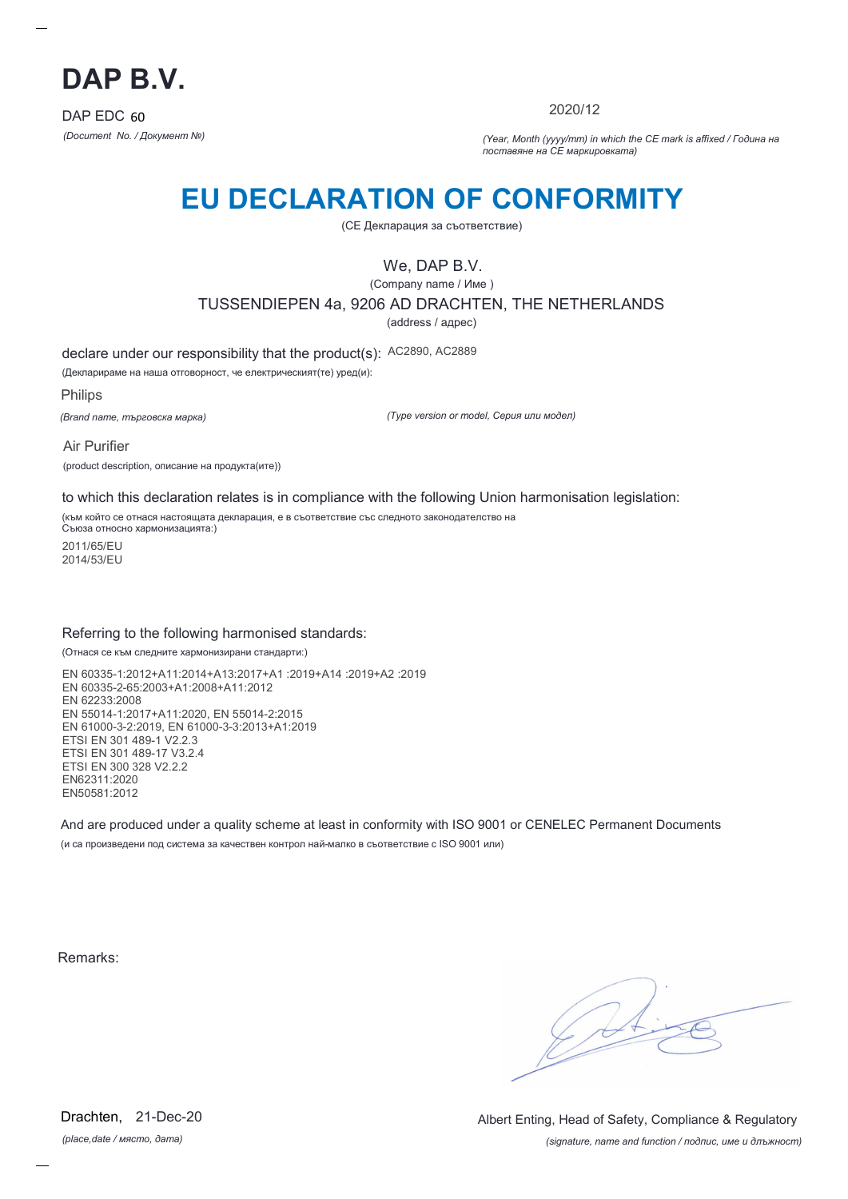

2020/12

*(Document No. / Документ №) (Year, Month (yyyy/mm) in which the CE mark is affixed / Година на поставяне на CE маркировката)*

# **EU DECLARATION OF CONFORMITY**

(CE Декларация за съответствие)

### We, DAP B.V.

(Company name / Име )

TUSSENDIEPEN 4a, 9206 AD DRACHTEN, THE NETHERLANDS

(address / адрес)

declare under our responsibility that the product(s): AC2890, AC2889

(Декларираме на наша отговорност, че електрическият(те) уред(и):

Philips

*(Brand name, търговска марка)*

*(Type version or model, Серия или модел)*

Air Purifier (product description, описание на продукта(ите))

to which this declaration relates is in compliance with the following Union harmonisation legislation:

(към който се отнася настоящата декларация, е в съответствие със следното законодателство на Съюза относно хармонизацията:)

2011/65/EU 2014/53/EU

### Referring to the following harmonised standards:

(Отнася се към следните хармонизирани стандарти:)

EN 60335-1:2012+A11:2014+A13:2017+A1 :2019+A14 :2019+A2 :2019 EN 60335-2-65:2003+A1:2008+A11:2012 EN 62233:2008 EN 55014-1:2017+A11:2020, EN 55014-2:2015 EN 61000-3-2:2019, EN 61000-3-3:2013+A1:2019 ETSI EN 301 489-1 V2.2.3 ETSI EN 301 489-17 V3.2.4 ETSI EN 300 328 V2.2.2 EN62311:2020 EN50581:2012

And are produced under a quality scheme at least in conformity with ISO 9001 or CENELEC Permanent Documents (и са произведени под система за качествен контрол най-малко в съответствие с ISO 9001 или)

Remarks:

*(place,date / място, дата)* Drachten, 21-Dec-20

*(signature, name and function / подпис, име и длъжност)* Albert Enting, Head of Safety, Compliance & Regulatory